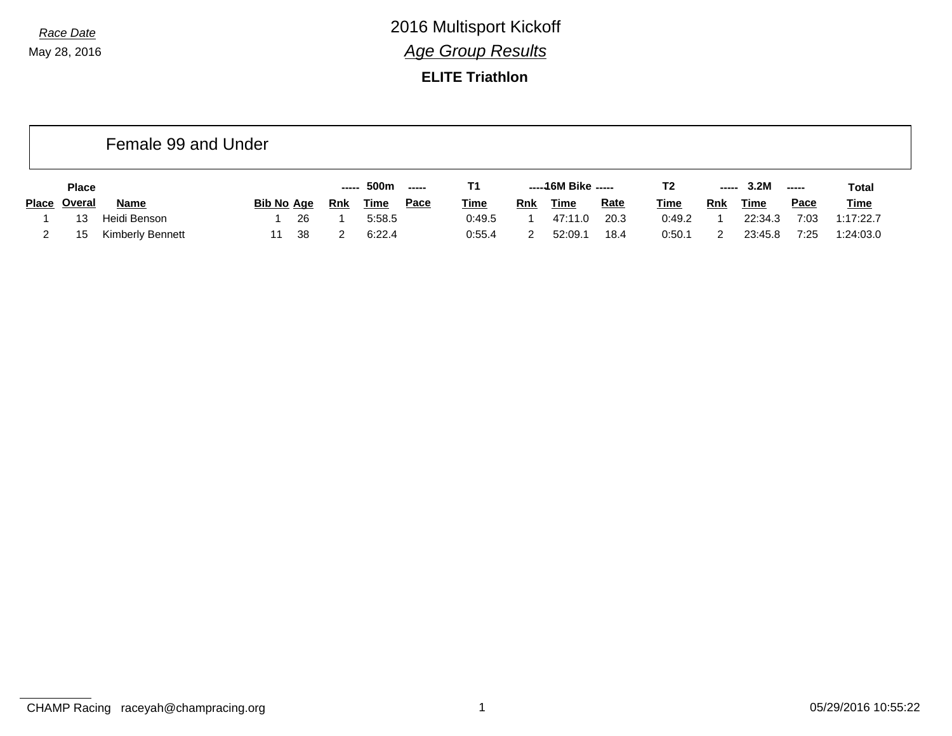**ELITE Triathlon**

|       |               | Female 99 and Under |                   |     |            |             |                                             |             |     |                     |             |             |            |         |                                                                                                                                                                                                                                                                                                                                                                                                                                                                                        |              |
|-------|---------------|---------------------|-------------------|-----|------------|-------------|---------------------------------------------|-------------|-----|---------------------|-------------|-------------|------------|---------|----------------------------------------------------------------------------------------------------------------------------------------------------------------------------------------------------------------------------------------------------------------------------------------------------------------------------------------------------------------------------------------------------------------------------------------------------------------------------------------|--------------|
|       | <b>Place</b>  |                     |                   |     | -----      | 500m        | $\begin{array}{c} \texttt{---} \end{array}$ | Т1          |     | -----16M Bike ----- |             | T2          | -----      | 3.2M    | $\begin{array}{ccc} \multicolumn{3}{c}{} & \multicolumn{3}{c}{} & \multicolumn{3}{c}{} & \multicolumn{3}{c}{} & \multicolumn{3}{c}{} & \multicolumn{3}{c}{} & \multicolumn{3}{c}{} & \multicolumn{3}{c}{} & \multicolumn{3}{c}{} & \multicolumn{3}{c}{} & \multicolumn{3}{c}{} & \multicolumn{3}{c}{} & \multicolumn{3}{c}{} & \multicolumn{3}{c}{} & \multicolumn{3}{c}{} & \multicolumn{3}{c}{} & \multicolumn{3}{c}{} & \multicolumn{3}{c}{} & \multicolumn{3}{c}{} & \multicolumn$ | <b>Total</b> |
| Place | <u>Overal</u> | <b>Name</b>         | <b>Bib No Age</b> |     | <b>Rnk</b> | <u>Time</u> | <u>Pace</u>                                 | <b>Time</b> | Rnk | Time                | <b>Rate</b> | <b>Time</b> | <u>Rnk</u> | Time    | <b>Pace</b>                                                                                                                                                                                                                                                                                                                                                                                                                                                                            | <b>Time</b>  |
|       | 13            | Heidi Benson        |                   | 26  |            | 5:58.5      |                                             | 0:49.5      |     | 47:11.0             | 20.3        | 0:49.2      |            | 22:34.3 | 7:03                                                                                                                                                                                                                                                                                                                                                                                                                                                                                   | 1:17:22.7    |
|       | 15            | Kimberly Bennett    | 11                | -38 |            | 6:22.4      |                                             | 0:55.4      |     | 52:09.1             | 18.4        | 0:50.1      |            | 23:45.8 | 7:25                                                                                                                                                                                                                                                                                                                                                                                                                                                                                   | 1:24:03.0    |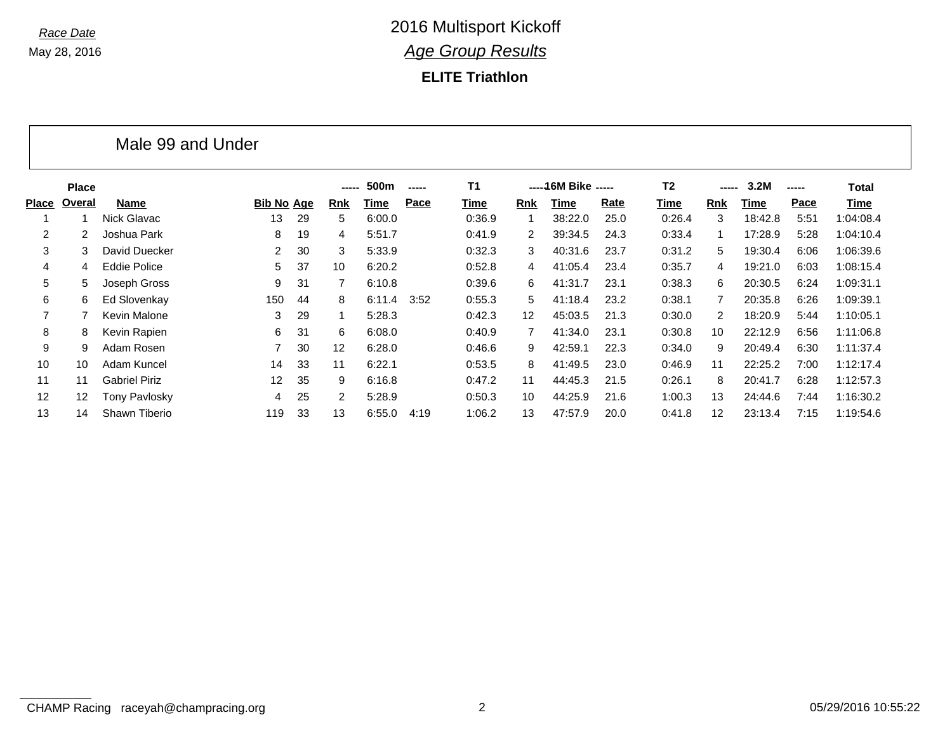### **ELITE Triathlon**

| <b>Place</b> |                      |                   |                   |                   | 500m   | -----       | <b>T1</b> |                      |         |      | T <sub>2</sub>       |     | 3.2M        | ----- | Total       |
|--------------|----------------------|-------------------|-------------------|-------------------|--------|-------------|-----------|----------------------|---------|------|----------------------|-----|-------------|-------|-------------|
| Overal       | <b>Name</b>          |                   |                   | <b>Rnk</b>        | Time   | <b>Pace</b> | Time      | Rnk                  | Time    | Rate | Time                 | Rnk | <b>Time</b> | Pace  | <b>Time</b> |
|              | Nick Glavac          | 13                | 29                | 5                 | 6:00.0 |             | 0:36.9    |                      | 38:22.0 | 25.0 | 0:26.4               | 3   | 18:42.8     | 5:51  | 1:04:08.4   |
| 2            | Joshua Park          | 8                 | 19                | 4                 | 5:51.7 |             | 0:41.9    | $\mathbf{2}^{\circ}$ | 39:34.5 | 24.3 | 0:33.4               | 1   | 17:28.9     | 5:28  | 1:04:10.4   |
| 3            | David Duecker        | 2                 | 30                | 3                 | 5:33.9 |             | 0:32.3    | 3                    | 40:31.6 | 23.7 | 0:31.2               | 5   | 19:30.4     | 6:06  | 1:06:39.6   |
| 4            | <b>Eddie Police</b>  | 5                 | 37                | 10                | 6:20.2 |             | 0:52.8    | 4                    | 41:05.4 | 23.4 | 0:35.7               | 4   | 19:21.0     | 6:03  | 1:08:15.4   |
| 5            | Joseph Gross         | 9                 | 31                |                   | 6:10.8 |             | 0:39.6    | 6                    | 41:31.7 | 23.1 | 0:38.3               | 6   | 20:30.5     | 6:24  | 1:09:31.1   |
| 6            | Ed Slovenkay         | 150               | 44                | 8                 |        | 3:52        | 0:55.3    | 5                    | 41:18.4 | 23.2 | 0:38.1               | 7   | 20:35.8     | 6:26  | 1:09:39.1   |
|              | Kevin Malone         | 3                 | 29                |                   | 5:28.3 |             | 0:42.3    | 12                   | 45:03.5 | 21.3 | 0:30.0               | 2   | 18:20.9     | 5:44  | 1:10:05.1   |
| 8            | Kevin Rapien         | 6                 | 31                | 6                 | 6:08.0 |             | 0:40.9    |                      | 41:34.0 | 23.1 | 0:30.8               | 10  | 22:12.9     | 6:56  | 1:11:06.8   |
| 9            | Adam Rosen           |                   | 30                | $12 \overline{ }$ | 6:28.0 |             | 0.46.6    | 9                    | 42:59.1 | 22.3 | 0:34.0               | 9   | 20:49.4     | 6:30  | 1:11:37.4   |
| 10           | Adam Kuncel          | 14                | 33                | 11                | 6:22.1 |             | 0:53.5    | 8                    | 41:49.5 | 23.0 | 0:46.9               | 11  | 22:25.2     | 7:00  | 1:12:17.4   |
| 11           | <b>Gabriel Piriz</b> | $12 \overline{ }$ | 35                | 9                 | 6:16.8 |             | 0:47.2    | 11                   | 44:45.3 | 21.5 | 0:26.1               | 8   | 20:41.7     | 6:28  | 1:12:57.3   |
| 12           | Tony Pavlosky        | 4                 | 25                | 2                 | 5:28.9 |             | 0:50.3    | 10                   | 44:25.9 | 21.6 | 1:00.3               | 13  | 24:44.6     | 7:44  | 1:16:30.2   |
| 14           | Shawn Tiberio        | 119               | 33                | 13                | 6:55.0 | 4:19        | 1:06.2    | 13                   | 47:57.9 | 20.0 | 0:41.8               | 12  | 23:13.4     | 7:15  | 1:19:54.6   |
|              |                      |                   | Male 99 and Under | Bib No Age        |        | -----       | 6:11.4    |                      |         |      | ----- 16M Bike ----- |     |             | ----- |             |

#### CHAMP Racing raceyah@champracing.org 2 2 05/29/2016 10:55:22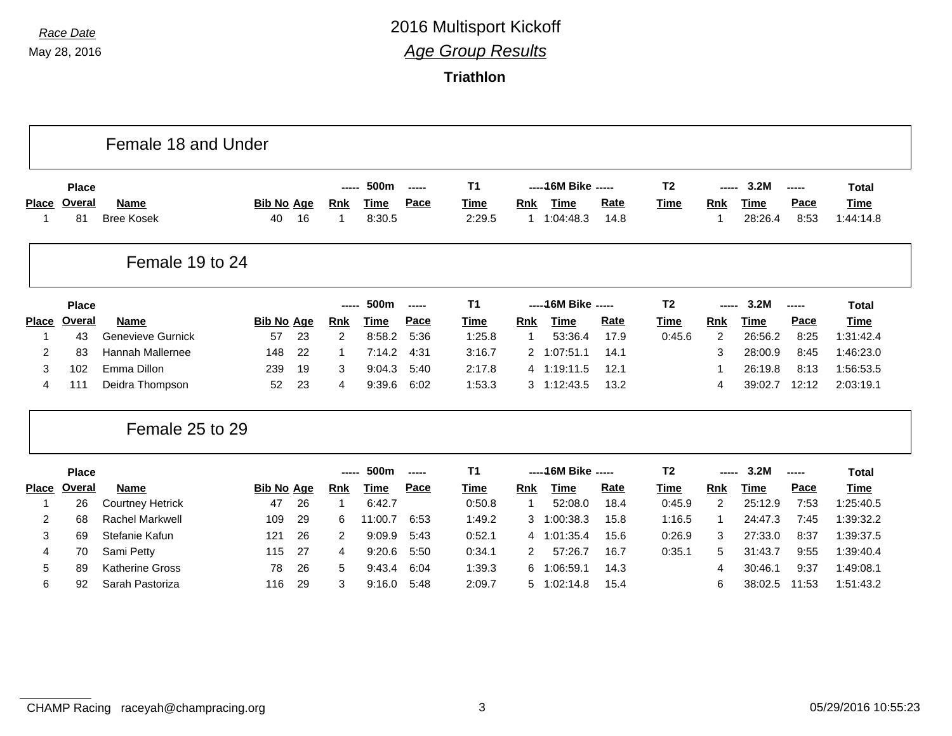|                   |               | Female 18 and Under              |                         |    |            |                       |        |                |            |                      |              |                |            |                 |              |                          |
|-------------------|---------------|----------------------------------|-------------------------|----|------------|-----------------------|--------|----------------|------------|----------------------|--------------|----------------|------------|-----------------|--------------|--------------------------|
|                   | <b>Place</b>  |                                  |                         |    | -----      | 500m                  | -----  | <b>T1</b>      |            | ----- 16M Bike ----- |              | T <sub>2</sub> |            | 3.2M            | -----        | <b>Total</b>             |
| <b>Place</b><br>1 | Overal<br>81  | <b>Name</b><br><b>Bree Kosek</b> | <b>Bib No Age</b><br>40 | 16 | Rnk        | <b>Time</b><br>8:30.5 | Pace   | Time<br>2:29.5 | <b>Rnk</b> | Time<br>1 1:04:48.3  | Rate<br>14.8 | <b>Time</b>    | <b>Rnk</b> | Time<br>28:26.4 | Pace<br>8:53 | <b>Time</b><br>1:44:14.8 |
|                   |               | Female 19 to 24                  |                         |    |            |                       |        |                |            |                      |              |                |            |                 |              |                          |
|                   | <b>Place</b>  |                                  |                         |    |            | 500m                  | -----  | <b>T1</b>      |            | ----- 16M Bike ----- |              | T <sub>2</sub> |            | 3.2M            | -----        | <b>Total</b>             |
| <b>Place</b>      | Overal        | <b>Name</b>                      | <b>Bib No Age</b>       |    | <b>Rnk</b> | <b>Time</b>           | Pace   | <b>Time</b>    | <b>Rnk</b> | <b>Time</b>          | Rate         | <b>Time</b>    | <b>Rnk</b> | <b>Time</b>     | Pace         | <b>Time</b>              |
| 1                 | 43            | Genevieve Gurnick                | 57                      | 23 | 2          | 8:58.2                | 5:36   | 1:25.8         |            | 53:36.4              | 17.9         | 0:45.6         | 2          | 26:56.2         | 8:25         | 1:31:42.4                |
| 2                 | 83            | Hannah Mallernee                 | 148                     | 22 |            | 7:14.2                | 4:31   | 3:16.7         |            | 2 1:07:51.1          | 14.1         |                | 3          | 28:00.9         | 8:45         | 1:46:23.0                |
| 3                 | 102           | Emma Dillon                      | 239                     | 19 | 3          | 9:04.3                | 5:40   | 2:17.8         |            | 4 1:19:11.5          | 12.1         |                |            | 26:19.8         | 8:13         | 1:56:53.5                |
| 4                 | 111           | Deidra Thompson                  | 52                      | 23 | 4          | 9:39.6                | 6:02   | 1:53.3         |            | $3 \quad 1:12:43.5$  | 13.2         |                | 4          | 39:02.7         | 12:12        | 2:03:19.1                |
|                   |               | Female 25 to 29                  |                         |    |            |                       |        |                |            |                      |              |                |            |                 |              |                          |
|                   | <b>Place</b>  |                                  |                         |    | -----      | 500m                  | ------ | T <sub>1</sub> |            | ----- 16M Bike ----- |              | T <sub>2</sub> | -----      | 3.2M            | -----        | <b>Total</b>             |
| <b>Place</b>      | <b>Overal</b> | <b>Name</b>                      | <b>Bib No Age</b>       |    | Rnk        | Time                  | Pace   | Time           | <b>Rnk</b> | <b>Time</b>          | Rate         | Time           | <b>Rnk</b> | <b>Time</b>     | Pace         | <b>Time</b>              |
| 1                 | 26            | <b>Courtney Hetrick</b>          | 47                      | 26 | 1          | 6:42.7                |        | 0:50.8         | 1          | 52:08.0              | 18.4         | 0:45.9         | 2          | 25:12.9         | 7:53         | 1:25:40.5                |
| $\overline{c}$    | 68            | <b>Rachel Markwell</b>           | 109                     | 29 | 6          | 11:00.7               | 6:53   | 1:49.2         | 3          | 1:00:38.3            | 15.8         | 1:16.5         | 1          | 24:47.3         | 7:45         | 1:39:32.2                |
| 3                 | 69            | Stefanie Kafun                   | 121                     | 26 | 2          | 9:09.9                | 5:43   | 0:52.1         |            | 4 1:01:35.4          | 15.6         | 0:26.9         | 3          | 27:33.0         | 8:37         | 1:39:37.5                |
|                   | 70            | Sami Petty                       | 115                     | 27 | 4          | 9:20.6                | 5:50   | 0:34.1         | 2          | 57:26.7              | 16.7         | 0:35.1         | 5          | 31:43.7         | 9:55         | 1:39:40.4                |
| 4                 |               |                                  |                         |    |            |                       |        |                |            |                      |              |                |            |                 |              |                          |
| 5                 | 89            | <b>Katherine Gross</b>           | 78                      | 26 | 5          | 9:43.4                | 6:04   | 1:39.3         | 6          | 1:06:59.1            | 14.3         |                | 4          | 30:46.1         | 9:37         | 1:49:08.1                |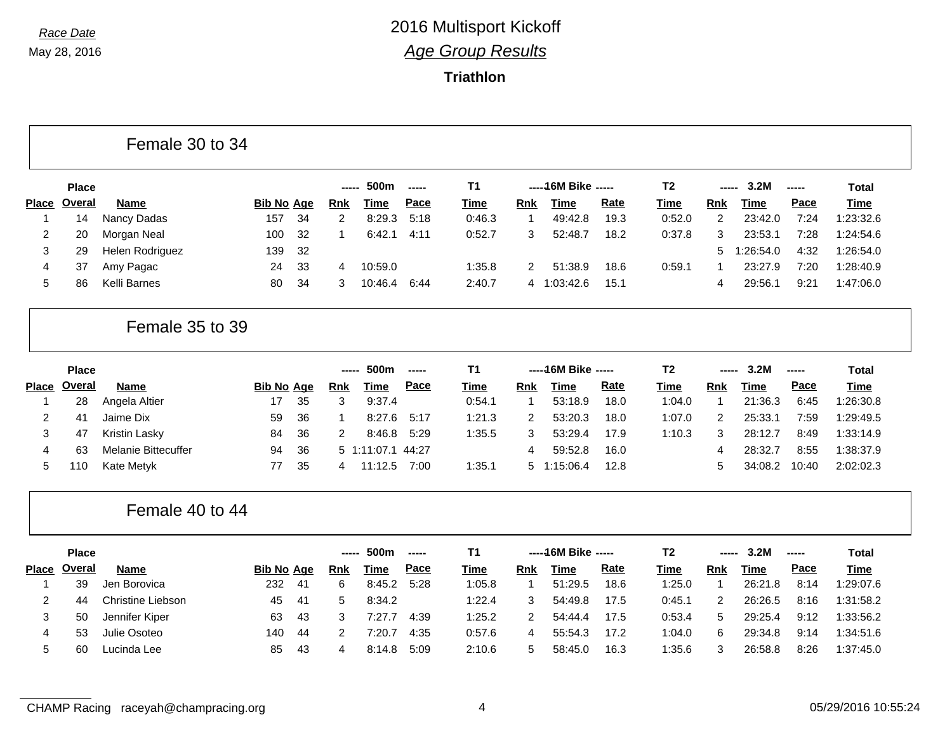|                |                 | Female 30 to 34            |                   |    |                |                   |               |             |                |                      |      |                |                |             |                                  |              |
|----------------|-----------------|----------------------------|-------------------|----|----------------|-------------------|---------------|-------------|----------------|----------------------|------|----------------|----------------|-------------|----------------------------------|--------------|
|                | <b>Place</b>    |                            |                   |    | -----          | 500m              | ------        | <b>T1</b>   |                | ----- 16M Bike ----- |      | T <sub>2</sub> | -----          | 3.2M        | -----                            | <b>Total</b> |
| <b>Place</b>   | Overal          | <b>Name</b>                | <b>Bib No Age</b> |    | <b>Rnk</b>     | <b>Time</b>       | Pace          | Time        | <b>Rnk</b>     | <b>Time</b>          | Rate | Time           | Rnk            | Time        | Pace                             | <b>Time</b>  |
| $\overline{1}$ | 14              | Nancy Dadas                | 157               | 34 | $\overline{c}$ | 8:29.3            | 5:18          | 0:46.3      | $\mathbf{1}$   | 49:42.8              | 19.3 | 0:52.0         | $\overline{2}$ | 23:42.0     | 7:24                             | 1:23:32.6    |
| $\overline{c}$ | 20              | Morgan Neal                | 100               | 32 | 1              | 6:42.1            | 4:11          | 0:52.7      | 3              | 52:48.7              | 18.2 | 0:37.8         | 3              | 23:53.1     | 7:28                             | 1:24:54.6    |
| 3              | 29              | Helen Rodriguez            | 139               | 32 |                |                   |               |             |                |                      |      |                | 5              | 1:26:54.0   | 4:32                             | 1:26:54.0    |
| 4              | 37              | Amy Pagac                  | 24                | 33 | 4              | 10:59.0           |               | 1:35.8      | 2              | 51:38.9              | 18.6 | 0:59.1         | $\mathbf{1}$   | 23:27.9     | 7:20                             | 1:28:40.9    |
| 5              | 86              | Kelli Barnes               | 80                | 34 | 3              | 10:46.4           | 6:44          | 2:40.7      | 4              | 1:03:42.6            | 15.1 |                | 4              | 29:56.1     | 9:21                             | 1:47:06.0    |
|                | Female 35 to 39 |                            |                   |    |                |                   |               |             |                |                      |      |                |                |             |                                  |              |
|                | <b>Place</b>    |                            |                   |    | -----          | 500m              | $-$           | <b>T1</b>   |                | ----- 16M Bike ----- |      | T <sub>2</sub> | -----          | 3.2M        | ------                           | <b>Total</b> |
|                | Place Overal    | <b>Name</b>                | <b>Bib No Age</b> |    | <b>Rnk</b>     | <b>Time</b>       | Pace          | <b>Time</b> | Rnk            | <b>Time</b>          | Rate | <b>Time</b>    | <b>Rnk</b>     | <b>Time</b> | Pace                             | <b>Time</b>  |
| -1             | 28              | Angela Altier              | 17                | 35 | 3              | 9:37.4            |               | 0:54.1      | 1              | 53:18.9              | 18.0 | 1:04.0         | 1              | 21:36.3     | 6:45                             | 1:26:30.8    |
| 2              | 41              | Jaime Dix                  | 59                | 36 | 1              | 8:27.6            | 5:17          | 1:21.3      | 2              | 53:20.3              | 18.0 | 1:07.0         | $\overline{c}$ | 25:33.1     | 7:59                             | 1:29:49.5    |
| 3              | 47              | Kristin Lasky              | 84                | 36 | 2              | 8:46.8            | 5:29          | 1:35.5      | 3              | 53:29.4              | 17.9 | 1:10.3         | 3              | 28:12.7     | 8:49                             | 1:33:14.9    |
| 4              | 63              | <b>Melanie Bittecuffer</b> | 94                | 36 |                | 5 1:11:07.1 44:27 |               |             | 4              | 59:52.8              | 16.0 |                | 4              | 28:32.7     | 8:55                             | 1:38:37.9    |
| 5              | 110             | Kate Metyk                 | 77                | 35 | 4              | 11:12.5           | 7:00          | 1:35.1      | 5              | 1:15:06.4            | 12.8 |                | 5              | 34:08.2     | 10:40                            | 2:02:02.3    |
|                |                 | Female 40 to 44            |                   |    |                |                   |               |             |                |                      |      |                |                |             |                                  |              |
|                | <b>Place</b>    |                            |                   |    | -----          | 500m              | $\frac{1}{2}$ | <b>T1</b>   |                | ----- 16M Bike ----- |      | T <sub>2</sub> | -----          | 3.2M        | $\begin{array}{c} - \end{array}$ | <b>Total</b> |
| <b>Place</b>   | <b>Overal</b>   | Name                       | <b>Bib No Age</b> |    | <b>Rnk</b>     | <b>Time</b>       | Pace          | <b>Time</b> | Rnk            | <b>Time</b>          | Rate | <b>Time</b>    | <b>Rnk</b>     | <b>Time</b> | Pace                             | <b>Time</b>  |
| -1             | 39              | Jen Borovica               | 232               | 41 | 6              | 8:45.2            | 5:28          | 1:05.8      | 1              | 51:29.5              | 18.6 | 1:25.0         | 1              | 26:21.8     | 8:14                             | 1:29:07.6    |
|                |                 | <b>Christine Liebson</b>   | 45                | 41 | 5              | 8:34.2            |               | 1:22.4      | 3              | 54:49.8              | 17.5 | 0:45.1         | 2              | 26:26.5     | 8:16                             | 1:31:58.2    |
| 2              | 44              |                            |                   |    |                |                   |               |             |                |                      |      |                |                |             |                                  |              |
| 3              | 50              | Jennifer Kiper             | 63                | 43 | 3              | 7:27.7            | 4:39          | 1:25.2      | $\overline{2}$ | 54:44.4              | 17.5 | 0:53.4         | 5              | 29:25.4     | 9:12                             | 1:33:56.2    |
| 4              | 53              | Julie Osoteo               | 140               | 44 | 2              | 7:20.7            | 4:35          | 0:57.6      | 4              | 55:54.3              | 17.2 | 1:04.0         | 6              | 29:34.8     | 9:14                             | 1:34:51.6    |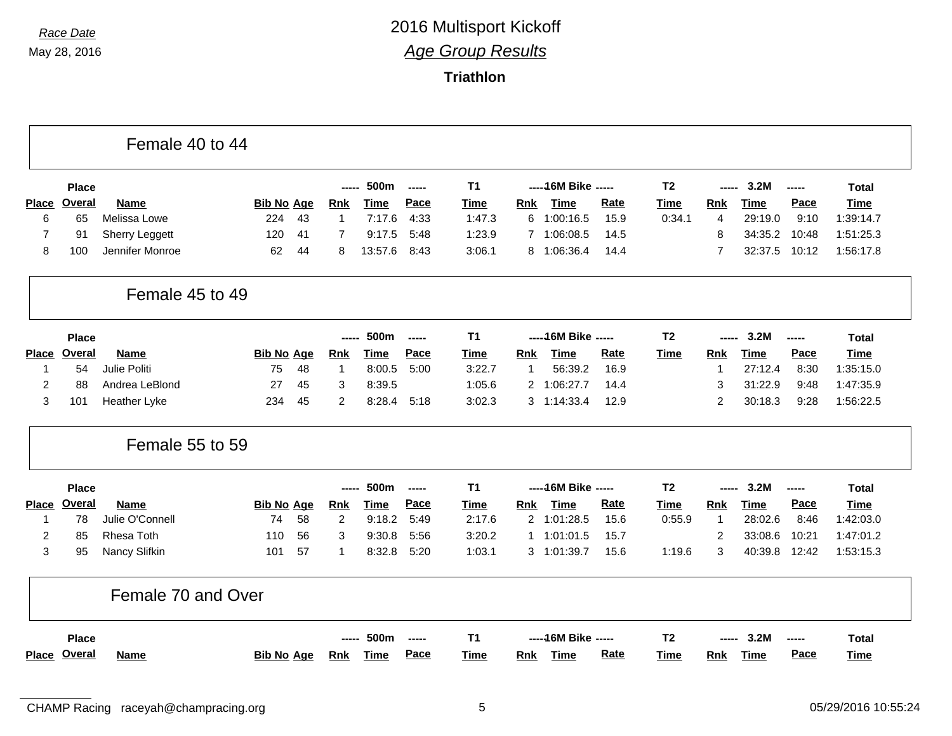|                |               | Female 40 to 44       |                   |    |                |             |                          |                |              |                      |             |                |                |             |             |              |
|----------------|---------------|-----------------------|-------------------|----|----------------|-------------|--------------------------|----------------|--------------|----------------------|-------------|----------------|----------------|-------------|-------------|--------------|
|                | <b>Place</b>  |                       |                   |    | -----          | 500m        | -----                    | <b>T1</b>      |              | ----- 16M Bike ----- |             | T <sub>2</sub> | -----          | 3.2M        | -----       | <b>Total</b> |
| <b>Place</b>   | Overal        | <b>Name</b>           | <b>Bib No Age</b> |    | <b>Rnk</b>     | <b>Time</b> | Pace                     | Time           | Rnk          | <b>Time</b>          | Rate        | <b>Time</b>    | <b>Rnk</b>     | Time        | Pace        | <b>Time</b>  |
| 6              | 65            | Melissa Lowe          | 224               | 43 | $\mathbf{1}$   | 7:17.6      | 4:33                     | 1:47.3         | 6            | 1:00:16.5            | 15.9        | 0:34.1         | $\overline{4}$ | 29:19.0     | 9:10        | 1:39:14.7    |
| $\overline{7}$ | 91            | <b>Sherry Leggett</b> | 120               | 41 | 7              | 9:17.5      | 5:48                     | 1:23.9         |              | 7 1:06:08.5          | 14.5        |                | 8              | 34:35.2     | 10:48       | 1:51:25.3    |
| 8              | 100           | Jennifer Monroe       | 62                | 44 | 8              | 13:57.6     | 8:43                     | 3:06.1         |              | 8 1:06:36.4          | 14.4        |                | 7              | 32:37.5     | 10:12       | 1:56:17.8    |
|                |               | Female 45 to 49       |                   |    |                |             |                          |                |              |                      |             |                |                |             |             |              |
|                | <b>Place</b>  |                       |                   |    | -----          | 500m        | $\overline{\phantom{a}}$ | T <sub>1</sub> |              | ----- 16M Bike ----- |             | T <sub>2</sub> | -----          | 3.2M        | -----       | Total        |
| Place          | <b>Overal</b> | <b>Name</b>           | <b>Bib No Age</b> |    | <b>Rnk</b>     | Time        | Pace                     | Time           | <b>Rnk</b>   | Time                 | <b>Rate</b> | <b>Time</b>    | <b>Rnk</b>     | Time        | Pace        | <b>Time</b>  |
| 1              | 54            | Julie Politi          | 75                | 48 | $\mathbf{1}$   | 8:00.5      | 5:00                     | 3:22.7         | -1           | 56:39.2              | 16.9        |                | -1             | 27:12.4     | 8:30        | 1:35:15.0    |
| $\overline{2}$ | 88            | Andrea LeBlond        | 27                | 45 | 3              | 8:39.5      |                          | 1:05.6         |              | 2 1:06:27.7          | 14.4        |                | 3              | 31:22.9     | 9:48        | 1:47:35.9    |
| 3              | 101           | Heather Lyke          | 234               | 45 | $\overline{c}$ | 8:28.4      | 5:18                     | 3:02.3         |              | 3 1:14:33.4          | 12.9        |                | $\overline{2}$ | 30:18.3     | 9:28        | 1:56:22.5    |
|                |               | Female 55 to 59       |                   |    |                |             |                          |                |              |                      |             |                |                |             |             |              |
|                | <b>Place</b>  |                       |                   |    | -----          | 500m        | $\frac{1}{2}$            | <b>T1</b>      |              | ----- 16M Bike ----- |             | T <sub>2</sub> | -----          | 3.2M        | $- - - - -$ | <b>Total</b> |
|                | Place Overal  | <b>Name</b>           | <b>Bib No Age</b> |    | <b>Rnk</b>     | <b>Time</b> | Pace                     | <b>Time</b>    | <b>Rnk</b>   | <b>Time</b>          | Rate        | <b>Time</b>    | Rnk            | <b>Time</b> | Pace        | <b>Time</b>  |
| $\mathbf{1}$   | 78            | Julie O'Connell       | 74                | 58 | $\overline{2}$ | 9:18.2      | 5:49                     | 2:17.6         |              | 2 1:01:28.5          | 15.6        | 0:55.9         | $\overline{1}$ | 28:02.6     | 8:46        | 1:42:03.0    |
| $\overline{c}$ | 85            | Rhesa Toth            | 110               | 56 | 3              | 9:30.8      | 5:56                     | 3:20.2         | $\mathbf{1}$ | 1:01:01.5            | 15.7        |                | $\overline{c}$ | 33:08.6     | 10:21       | 1:47:01.2    |
| 3              | 95            | Nancy Slifkin         | 101               | 57 | -1             | 8:32.8      | 5:20                     | 1:03.1         |              | 3 1:01:39.7          | 15.6        | 1:19.6         | 3              | 40:39.8     | 12:42       | 1:53:15.3    |
|                |               | Female 70 and Over    |                   |    |                |             |                          |                |              |                      |             |                |                |             |             |              |
|                | <b>Place</b>  |                       |                   |    |                | 500m        |                          | <b>T1</b>      |              | ----- 16M Bike ----- |             | T <sub>2</sub> |                | 3.2M        |             | <b>Total</b> |
|                | Place Overal  | <b>Name</b>           | <b>Bib No Age</b> |    | <b>Rnk</b>     | Time        | Pace                     | Time           | <b>Rnk</b>   | <b>Time</b>          | Rate        | <b>Time</b>    | Rnk            | Time        | Pace        | Time         |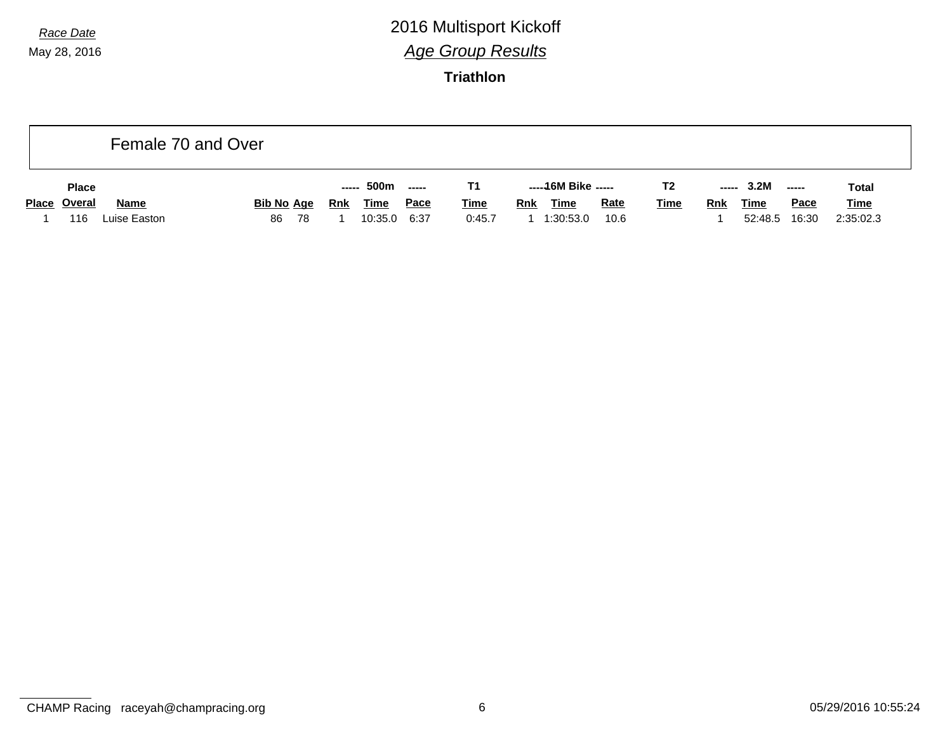|              |              | Female 70 and Over   |                         |     |     |                        |                     |                       |            |                            |                     |                |            |                        |                      |                          |  |
|--------------|--------------|----------------------|-------------------------|-----|-----|------------------------|---------------------|-----------------------|------------|----------------------------|---------------------|----------------|------------|------------------------|----------------------|--------------------------|--|
|              | <b>Place</b> |                      |                         |     |     | ----- 500m             | -----               |                       |            | -----16M Bike -----        |                     | T <sub>2</sub> |            | $--- 3.2M$             | -----                | <b>Total</b>             |  |
| Place Overal | 116          | Name<br>Luise Easton | <b>Bib No Age</b><br>86 | -78 | Rnk | <b>Time</b><br>10:35.0 | <u>Pace</u><br>6:37 | <b>Time</b><br>0:45.7 | <b>Rnk</b> | <b>Time</b><br>1 1:30:53.0 | <b>Rate</b><br>10.6 | <u>Time</u>    | <u>Rnk</u> | <b>Time</b><br>52:48.5 | <u>Pace</u><br>16:30 | <b>Time</b><br>2:35:02.3 |  |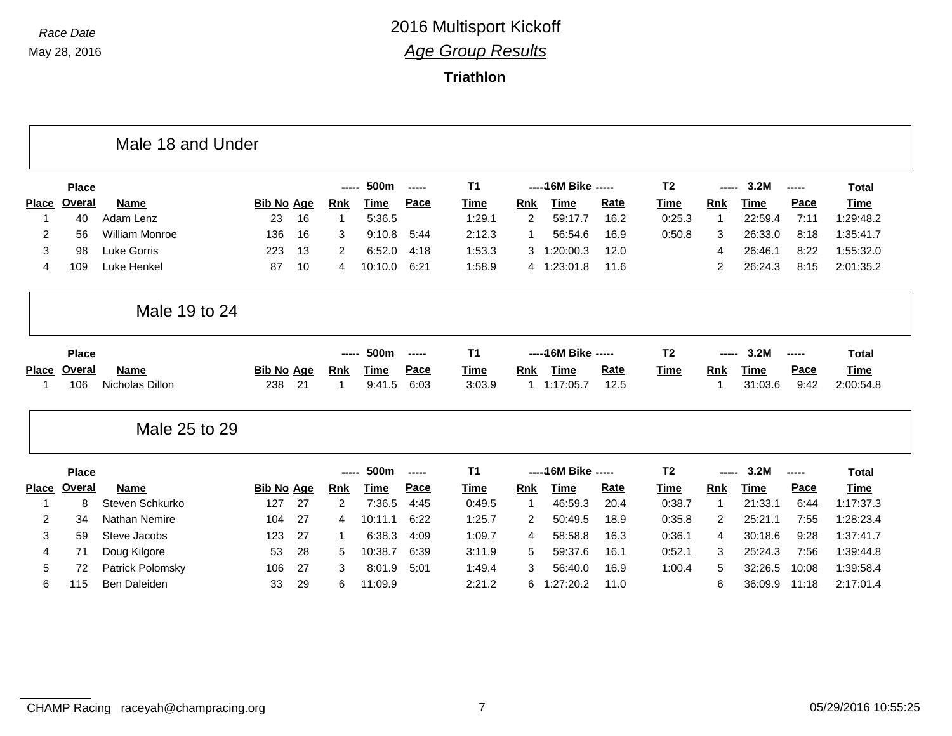|              |               | Male 18 and Under     |                   |    |            |             |        |                |                |                      |             |                |                |             |          |              |
|--------------|---------------|-----------------------|-------------------|----|------------|-------------|--------|----------------|----------------|----------------------|-------------|----------------|----------------|-------------|----------|--------------|
|              | <b>Place</b>  |                       |                   |    | -----      | 500m        | -----  | <b>T1</b>      |                | ----- 16M Bike ----- |             | T <sub>2</sub> |                | 3.2M        | -----    | <b>Total</b> |
| <b>Place</b> | <b>Overal</b> | <b>Name</b>           | <b>Bib No Age</b> |    | <b>Rnk</b> | Time        | Pace   | Time           | <b>Rnk</b>     | <b>Time</b>          | <b>Rate</b> | Time           | <b>Rnk</b>     | <b>Time</b> | Pace     | <b>Time</b>  |
| -1           | 40            | Adam Lenz             | 23                | 16 | 1          | 5:36.5      |        | 1:29.1         | $\overline{2}$ | 59:17.7              | 16.2        | 0:25.3         | 1              | 22:59.4     | 7:11     | 1:29:48.2    |
| 2            | 56            | <b>William Monroe</b> | 136               | 16 | 3          | 9:10.8      | 5:44   | 2:12.3         | $\mathbf{1}$   | 56:54.6              | 16.9        | 0:50.8         | 3              | 26:33.0     | 8:18     | 1:35:41.7    |
| 3            | 98            | <b>Luke Gorris</b>    | 223               | 13 | 2          | 6:52.0      | 4:18   | 1:53.3         | 3              | 1:20:00.3            | 12.0        |                | 4              | 26:46.1     | 8:22     | 1:55:32.0    |
| 4            | 109           | Luke Henkel           | 87                | 10 | 4          | 10:10.0     | 6:21   | 1:58.9         |                | 4 1:23:01.8          | 11.6        |                | $\overline{2}$ | 26:24.3     | 8:15     | 2:01:35.2    |
|              |               | Male 19 to 24         |                   |    |            |             |        |                |                |                      |             |                |                |             |          |              |
|              | <b>Place</b>  |                       |                   |    | ------     | 500m        | ------ | T <sub>1</sub> |                | ----- 16M Bike ----- |             | T <sub>2</sub> | ----           | 3.2M        | -----    | <b>Total</b> |
| Place        | <b>Overal</b> | <b>Name</b>           | <b>Bib No Age</b> |    | <b>Rnk</b> | Time        | Pace   | Time           | <b>Rnk</b>     | <b>Time</b>          | <b>Rate</b> | Time           | <b>Rnk</b>     | <b>Time</b> | Pace     | <b>Time</b>  |
| -1           | 106           | Nicholas Dillon       | 238               | 21 | 1          | 9:41.5      | 6:03   | 3:03.9         | $\mathbf{1}$   | 1:17:05.7            | 12.5        |                | 1              | 31:03.6     | 9:42     | 2:00:54.8    |
|              |               | Male 25 to 29         |                   |    |            |             |        |                |                |                      |             |                |                |             |          |              |
|              | <b>Place</b>  |                       |                   |    | -----      | 500m        | -----  | <b>T1</b>      |                | ----- 16M Bike ----- |             | T <sub>2</sub> | -----          | 3.2M        | $-0.000$ | <b>Total</b> |
| <b>Place</b> | Overal        | <b>Name</b>           | <b>Bib No Age</b> |    | <b>Rnk</b> | <b>Time</b> | Pace   | <b>Time</b>    | <b>Rnk</b>     | <b>Time</b>          | Rate        | Time           | <b>Rnk</b>     | <b>Time</b> | Pace     | <b>Time</b>  |
| -1           | 8             | Steven Schkurko       | 127               | 27 | 2          | 7:36.5      | 4:45   | 0:49.5         | 1              | 46:59.3              | 20.4        | 0:38.7         | $\mathbf{1}$   | 21:33.1     | 6:44     | 1:17:37.3    |
|              | 34            | <b>Nathan Nemire</b>  | 104               | 27 | 4          | 10:11.1     | 6:22   | 1:25.7         | 2              | 50:49.5              | 18.9        | 0:35.8         | 2              | 25:21.1     | 7:55     | 1:28:23.4    |
| 2            |               |                       |                   |    |            |             |        | 1:09.7         | 4              | 58:58.8              | 16.3        | 0:36.1         | 4              | 30:18.6     |          | 1:37:41.7    |
| 3            | 59            | Steve Jacobs          | 123               | 27 | 1          | 6:38.3      | 4:09   |                |                |                      |             |                |                |             | 9:28     |              |
| 4            | 71            | Doug Kilgore          | 53                | 28 | 5          | 10:38.7     | 6:39   | 3:11.9         | 5              | 59:37.6              | 16.1        | 0:52.1         | 3              | 25:24.3     | 7:56     | 1:39:44.8    |
| 5            | 72            | Patrick Polomsky      | 106               | 27 | 3          | 8:01.9      | 5:01   | 1:49.4         | 3              | 56:40.0              | 16.9        | 1:00.4         | 5              | 32:26.5     | 10:08    | 1:39:58.4    |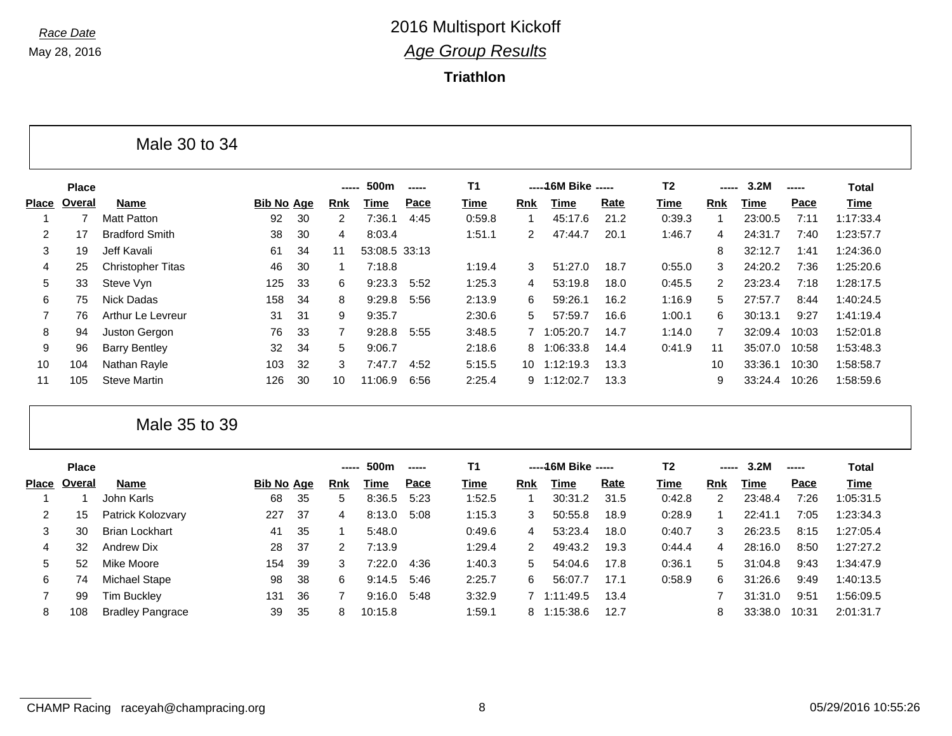**Triathlon**

|                |              | Male 30 to 34            |                   |    |                      |               |             |           |             |                      |             |                |       |         |             |              |
|----------------|--------------|--------------------------|-------------------|----|----------------------|---------------|-------------|-----------|-------------|----------------------|-------------|----------------|-------|---------|-------------|--------------|
|                | <b>Place</b> |                          |                   |    |                      | 500m          |             | <b>T1</b> |             | ----- 16M Bike ----- |             | T <sub>2</sub> | ----- | 3.2M    |             | <b>Total</b> |
| <b>Place</b>   | Overal       | Name                     | <b>Bib No Age</b> |    | <b>Rnk</b>           | Time          | <b>Pace</b> | Time      | Rnk         | Time                 | <b>Rate</b> | Time           | Rnk   | Time    | <b>Pace</b> | Time         |
|                |              | <b>Matt Patton</b>       | 92                | 30 | $\mathbf{2}^{\circ}$ | 7:36.1        | 4:45        | 0:59.8    |             | 45:17.6              | 21.2        | 0:39.3         |       | 23:00.5 | 7:11        | 1:17:33.4    |
| 2              | 17           | <b>Bradford Smith</b>    | 38                | 30 | 4                    | 8:03.4        |             | 1:51.1    | 2           | 47:44.7              | 20.1        | 1:46.7         | 4     | 24:31.7 | 7:40        | 1:23:57.7    |
| 3              | 19           | Jeff Kavali              | 61                | 34 | 11                   | 53:08.5 33:13 |             |           |             |                      |             |                | 8     | 32:12.7 | 1:41        | 1:24:36.0    |
| 4              | 25           | <b>Christopher Titas</b> | 46                | 30 |                      | 7:18.8        |             | 1:19.4    | 3           | 51:27.0              | 18.7        | 0:55.0         | 3     | 24:20.2 | 7:36        | 1:25:20.6    |
| 5              | 33           | Steve Vyn                | 125               | 33 | 6                    | 9:23.3        | 5:52        | 1:25.3    | 4           | 53:19.8              | 18.0        | 0:45.5         | 2     | 23:23.4 | 7:18        | 1:28:17.5    |
| 6              | 75           | Nick Dadas               | 158               | 34 | 8                    | 9:29.8        | 5:56        | 2:13.9    | 6           | 59:26.1              | 16.2        | 1:16.9         | 5     | 27:57.7 | 8:44        | 1:40:24.5    |
| $\overline{7}$ | 76           | Arthur Le Levreur        | 31                | 31 | 9                    | 9:35.7        |             | 2:30.6    | 5.          | 57:59.7              | 16.6        | 1:00.1         | 6     | 30:13.1 | 9:27        | 1:41:19.4    |
| 8              | 94           | Juston Gergon            | 76                | 33 |                      | 9:28.8        | 5:55        | 3:48.5    | $7^{\circ}$ | 1:05:20.7            | 14.7        | 1:14.0         | 7     | 32:09.4 | 10:03       | 1:52:01.8    |
| 9              | 96           | <b>Barry Bentley</b>     | 32                | 34 | 5                    | 9:06.7        |             | 2:18.6    | 8           | 1:06:33.8            | 14.4        | 0:41.9         | 11    | 35:07.0 | 10:58       | 1:53:48.3    |
| 10             | 104          | Nathan Rayle             | 103               | 32 | 3                    | 7:47.7        | 4:52        | 5:15.5    | 10          | 1:12:19.3            | 13.3        |                | 10    | 33:36.1 | 10:30       | 1:58:58.7    |
| 11             | 105          | <b>Steve Martin</b>      | 126               | 30 | 10                   | 11:06.9       | 6:56        | 2:25.4    | 9           | 1:12:02.7            | 13.3        |                | 9     | 33:24.4 | 10:26       | 1:58:59.6    |

Male 35 to 39

|       | <b>Place</b> |                         |            |     | $\begin{array}{cccccccccccccc} \multicolumn{2}{c}{} & \multicolumn{2}{c}{} & \multicolumn{2}{c}{} & \multicolumn{2}{c}{} & \multicolumn{2}{c}{} & \multicolumn{2}{c}{} & \multicolumn{2}{c}{} & \multicolumn{2}{c}{} & \multicolumn{2}{c}{} & \multicolumn{2}{c}{} & \multicolumn{2}{c}{} & \multicolumn{2}{c}{} & \multicolumn{2}{c}{} & \multicolumn{2}{c}{} & \multicolumn{2}{c}{} & \multicolumn{2}{c}{} & \multicolumn{2}{c}{} & \multicolumn{2}{c}{} & \multicolumn{2}{c}{} & \$ | 500m    | ----- | Τ1     |     | -----16M Bike ----- |      | T2     | -----      | 3.2M    | ----- | Total     |
|-------|--------------|-------------------------|------------|-----|----------------------------------------------------------------------------------------------------------------------------------------------------------------------------------------------------------------------------------------------------------------------------------------------------------------------------------------------------------------------------------------------------------------------------------------------------------------------------------------|---------|-------|--------|-----|---------------------|------|--------|------------|---------|-------|-----------|
| Place | Overal       | <b>Name</b>             | Bib No Age |     | Rnk                                                                                                                                                                                                                                                                                                                                                                                                                                                                                    | Time    | Pace  | Time   | Rnk | Time                | Rate | Time   | <b>Rnk</b> | Time    | Pace  | Time      |
|       |              | John Karls              | 68         | 35  | 5                                                                                                                                                                                                                                                                                                                                                                                                                                                                                      | 8:36.5  | 5:23  | 1:52.5 |     | 30:31.2             | 31.5 | 0:42.8 | 2          | 23:48.4 | 7:26  | 1:05:31.5 |
|       | 15           | Patrick Kolozvary       | 227        | 37  | 4                                                                                                                                                                                                                                                                                                                                                                                                                                                                                      | 8:13.0  | 5:08  | 1:15.3 | 3   | 50:55.8             | 18.9 | 0:28.9 |            | 22:41.1 | 7:05  | 1:23:34.3 |
| 3     | 30           | <b>Brian Lockhart</b>   | 41         | 35  |                                                                                                                                                                                                                                                                                                                                                                                                                                                                                        | 5:48.0  |       | 0:49.6 | 4   | 53:23.4             | 18.0 | 0:40.7 | 3          | 26:23.5 | 8:15  | 1:27:05.4 |
| 4     | 32           | Andrew Dix              | 28         | -37 |                                                                                                                                                                                                                                                                                                                                                                                                                                                                                        | 7:13.9  |       | 1:29.4 | 2   | 49:43.2             | 19.3 | 0:44.4 | 4          | 28:16.0 | 8:50  | 1:27:27.2 |
| 5     | 52           | Mike Moore              | 154        | 39  | 3                                                                                                                                                                                                                                                                                                                                                                                                                                                                                      | 7:22.0  | 4:36  | 1:40.3 | 5   | 54:04.6             | 17.8 | 0:36.1 | 5          | 31:04.8 | 9:43  | 1:34:47.9 |
| 6     | 74           | Michael Stape           | 98         | 38  | 6                                                                                                                                                                                                                                                                                                                                                                                                                                                                                      | 9:14.5  | 5:46  | 2:25.7 | 6   | 56:07.7             | 17.1 | 0:58.9 | 6          | 31:26.6 | 9:49  | 1:40:13.5 |
|       | 99           | <b>Tim Buckley</b>      | 131        | 36  |                                                                                                                                                                                                                                                                                                                                                                                                                                                                                        | 9:16.0  | 5:48  | 3:32.9 |     | 7 1:11:49.5         | 13.4 |        |            | 31:31.0 | 9:51  | 1:56:09.5 |
| 8     | 108          | <b>Bradley Pangrace</b> | 39         | 35  | 8                                                                                                                                                                                                                                                                                                                                                                                                                                                                                      | 10:15.8 |       | 1:59.1 |     | 8 1:15:38.6         | 12.7 |        | 8          | 33:38.0 | 10:31 | 2:01:31.7 |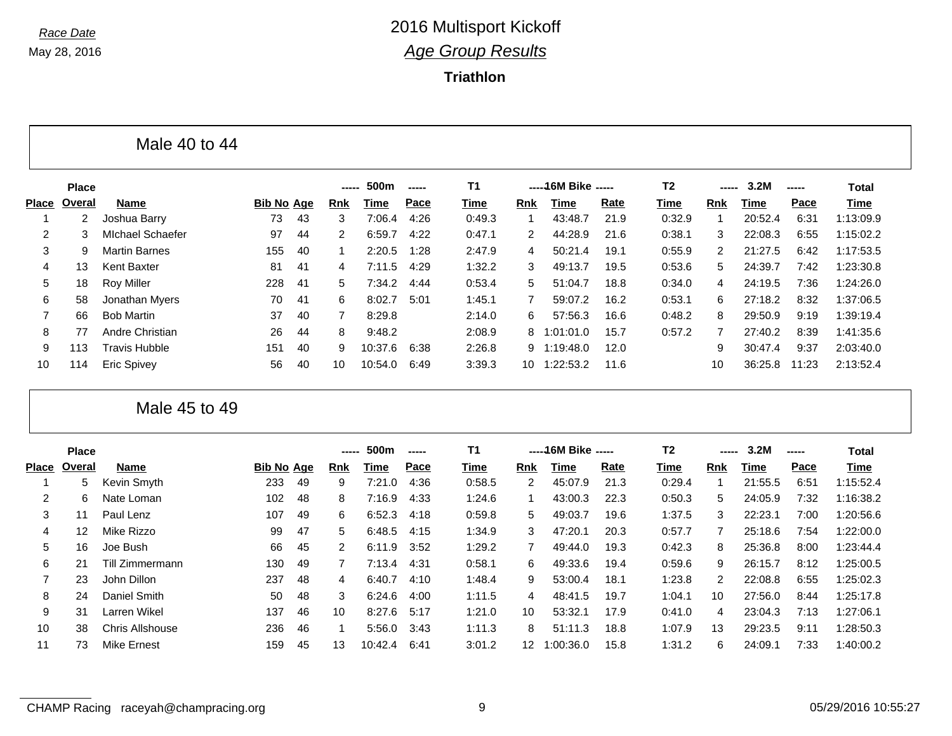г

## *Race Date* 2016 Multisport Kickoff *Age Group Results*

**Triathlon**

|                |                | Male 40 to 44           |                   |    |                |             |       |           |            |                      |             |                |            |             |       |              |
|----------------|----------------|-------------------------|-------------------|----|----------------|-------------|-------|-----------|------------|----------------------|-------------|----------------|------------|-------------|-------|--------------|
|                | <b>Place</b>   |                         |                   |    | -----          | 500m        | ----- | <b>T1</b> |            | -----16M Bike -----  |             | T <sub>2</sub> |            | 3.2M        | ----- | <b>Total</b> |
| <b>Place</b>   | Overal         | <b>Name</b>             | <b>Bib No Age</b> |    | <b>Rnk</b>     | <b>Time</b> | Pace  | Time      | <b>Rnk</b> | Time                 | Rate        | Time           | <b>Rnk</b> | <b>Time</b> | Pace  | <b>Time</b>  |
|                | $\overline{2}$ | Joshua Barry            | 73                | 43 | 3              | 7:06.4      | 4:26  | 0:49.3    |            | 43:48.7              | 21.9        | 0:32.9         |            | 20:52.4     | 6:31  | 1:13:09.9    |
| 2              | 3              | <b>Michael Schaefer</b> | 97                | 44 | $\overline{2}$ | 6:59.7      | 4:22  | 0:47.1    | 2          | 44:28.9              | 21.6        | 0:38.1         | 3          | 22:08.3     | 6:55  | 1:15:02.2    |
| 3              | 9              | <b>Martin Barnes</b>    | 155               | 40 | 1              | 2:20.5      | 1:28  | 2:47.9    | 4          | 50:21.4              | 19.1        | 0:55.9         | 2          | 21:27.5     | 6:42  | 1:17:53.5    |
| 4              | 13             | <b>Kent Baxter</b>      | 81                | 41 | 4              | 7:11.5      | 4:29  | 1:32.2    | 3          | 49:13.7              | 19.5        | 0:53.6         | 5          | 24:39.7     | 7:42  | 1:23:30.8    |
| 5              | 18             | <b>Roy Miller</b>       | 228               | 41 | 5              | 7:34.2      | 4:44  | 0:53.4    | 5          | 51:04.7              | 18.8        | 0:34.0         | 4          | 24:19.5     | 7:36  | 1:24:26.0    |
| 6              | 58             | Jonathan Myers          | 70                | 41 | 6              | 8:02.7      | 5:01  | 1:45.1    |            | 59:07.2              | 16.2        | 0:53.1         | 6          | 27:18.2     | 8:32  | 1:37:06.5    |
| $\overline{7}$ | 66             | <b>Bob Martin</b>       | 37                | 40 | 7              | 8:29.8      |       | 2:14.0    | 6          | 57:56.3              | 16.6        | 0:48.2         | 8          | 29:50.9     | 9:19  | 1:39:19.4    |
| 8              | 77             | Andre Christian         | 26                | 44 | 8              | 9:48.2      |       | 2:08.9    | 8          | 1:01:01.0            | 15.7        | 0:57.2         |            | 27:40.2     | 8:39  | 1:41:35.6    |
| 9              | 113            | <b>Travis Hubble</b>    | 151               | 40 | 9              | 10:37.6     | 6:38  | 2:26.8    | 9          | 1:19:48.0            | 12.0        |                | 9          | 30:47.4     | 9:37  | 2:03:40.0    |
| 10             | 114            | <b>Eric Spivey</b>      | 56                | 40 | 10             | 10:54.0     | 6:49  | 3:39.3    | 10         | 1:22:53.2            | 11.6        |                | 10         | 36:25.8     | 11:23 | 2:13:52.4    |
|                |                | Male 45 to 49           |                   |    |                |             |       |           |            |                      |             |                |            |             |       |              |
|                | <b>Place</b>   |                         |                   |    | -----          | 500m        | ----- | <b>T1</b> |            | ----- 16M Bike ----- |             | T <sub>2</sub> |            | 3.2M        | ----- | <b>Total</b> |
| <b>Place</b>   | Overal         | Name                    | <b>Bib No Age</b> |    | <b>Rnk</b>     | <b>Time</b> | Pace  | Time      | <b>Rnk</b> | <b>Time</b>          | <b>Rate</b> | Time           | <b>Rnk</b> | <b>Time</b> | Pace  | <b>Time</b>  |
|                | 5              | Kevin Smyth             | 233               | 49 | 9              | 7:21.0      | 4:36  | 0:58.5    | 2          | 45:07.9              | 21.3        | 0:29.4         | -1         | 21:55.5     | 6:51  | 1:15:52.4    |
| 2              | 6              | Nate Loman              | 102               | 48 | 8              | 7:16.9      | 4:33  | 1:24.6    |            | 43:00.3              | 22.3        | 0:50.3         | 5          | 24:05.9     | 7:32  | 1:16:38.2    |
| 3              | 11             | Paul Lenz               | 107               | 49 | 6              | 6:52.3      | 4:18  | 0:59.8    | 5          | 49:03.7              | 19.6        | 1:37.5         | 3          | 22:23.1     | 7:00  | 1:20:56.6    |
| 4              | 12             | Mike Rizzo              | 99                | 47 | 5              | 6:48.5      | 4:15  | 1:34.9    | 3          | 47:20.1              | 20.3        | 0:57.7         |            | 25:18.6     | 7:54  | 1:22:00.0    |
| 5              | 16             | Joe Bush                | 66                | 45 | 2              | 6:11.9      | 3:52  | 1:29.2    |            | 49:44.0              | 19.3        | 0:42.3         | 8          | 25:36.8     | 8:00  | 1:23:44.4    |
| 6              | 21             | Till Zimmermann         | 130               | 49 | 7              | 7:13.4      | 4:31  | 0:58.1    | 6          | 49:33.6              | 19.4        | 0:59.6         | 9          | 26:15.7     | 8:12  | 1:25:00.5    |
| 7              | 23             | John Dillon             | 237               | 48 | 4              | 6:40.7      | 4:10  | 1:48.4    | 9          | 53:00.4              | 18.1        | 1:23.8         | 2          | 22:08.8     | 6:55  | 1:25:02.3    |

 24 Daniel Smith 50 48 3 6:24.6 4:00 1:11.5 4 48:41.5 19.7 1:04.1 10 27:56.0 8:44 1:25:17.8 31 Larren Wikel 137 46 10 8:27.6 5:17 1:21.0 10 53:32.1 17.9 0:41.0 4 23:04.3 7:13 1:27:06.1 38 Chris Allshouse 236 46 1 5:56.0 3:43 1:11.3 8 51:11.3 18.8 1:07.9 13 29:23.5 9:11 1:28:50.3 73 Mike Ernest 159 45 13 10:42.4 6:41 3:01.2 12 1:00:36.0 15.8 1:31.2 6 24:09.1 7:33 1:40:00.2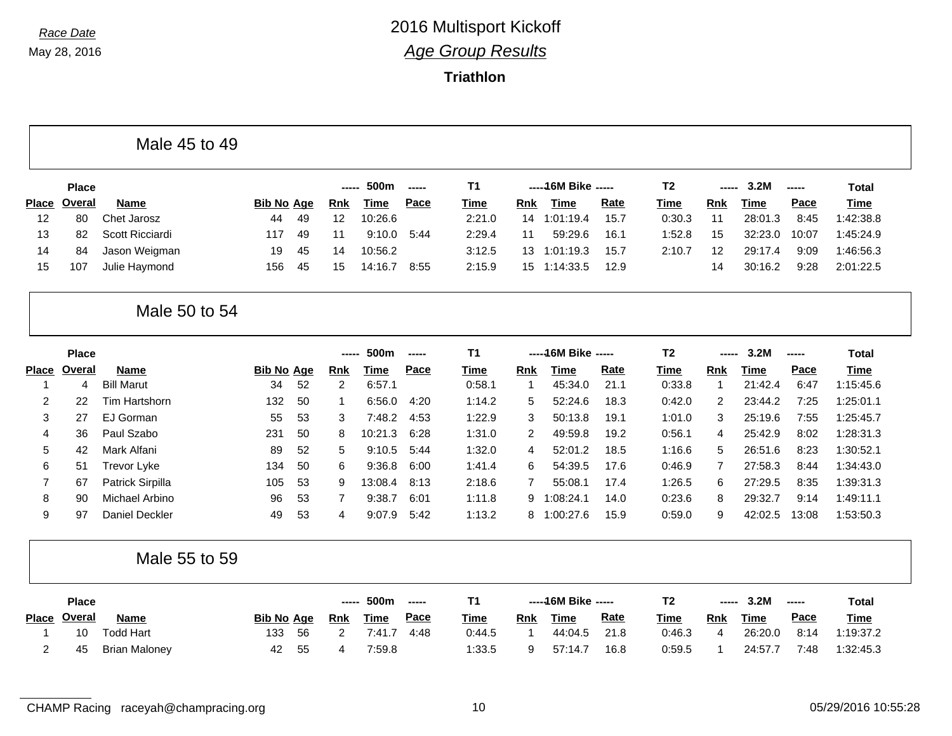### **Triathlon**

| Male 45 to 49 |  |  |  |
|---------------|--|--|--|
|---------------|--|--|--|

|    | <b>Place</b> |                 |                   |     | ------ | 500m        | $\overline{\phantom{a}}$ | T1.    |     | $---16M$ Bike $---$ |             | Τ2     | $\frac{1}{2}$ | 3.2M    | $\frac{1}{2}$ | Total       |
|----|--------------|-----------------|-------------------|-----|--------|-------------|--------------------------|--------|-----|---------------------|-------------|--------|---------------|---------|---------------|-------------|
|    | Place Overal | <b>Name</b>     | <b>Bib No Age</b> |     | Rnk    | <b>Time</b> | <u>Pace</u>              | Time   | Rnk | Time                | <u>Rate</u> | Time   | <b>Rnk</b>    | Time    | <u>Pace</u>   | <b>Time</b> |
| 12 | 80           | Chet Jarosz     | 44                | -49 | 12     | 10:26.6     |                          | 2:21.0 | 14  | 1:01:19.4           | 15.7        | 0:30.3 |               | 28:01.3 | 8:45          | 1:42:38.8   |
| 13 | 82           | Scott Ricciardi | 117               | 49  |        | 9:10.0      | 5:44                     | 2:29.4 | 11  | 59:29.6             | 16.1        | 1:52.8 | 15            | 32:23.0 | 10:07         | 1:45:24.9   |
| 14 | 84           | Jason Weigman   | 19                | -45 | 14     | 10:56.2     |                          | 3:12.5 | 13. | 1:01:19.3           | 15.7        | 2:10.7 | 12            | 29:17.4 | 9:09          | 1:46:56.3   |
| 15 | 107          | Julie Haymond   | 156               | -45 | 15     | 14:16.7     | 8:55                     | 2:15.9 |     | 15 1:14:33.5        | 12.9        |        | 14            | 30:16.2 | 9:28          | 2:01:22.5   |

### Male 50 to 54

|       | <b>Place</b> |                   |            |     | -----      | 500m    | ----- | <b>T1</b> |            | -----16M Bike -----    |      | T <sub>2</sub> | -----      | 3.2M    | ----- | Total       |
|-------|--------------|-------------------|------------|-----|------------|---------|-------|-----------|------------|------------------------|------|----------------|------------|---------|-------|-------------|
| Place | Overal       | <b>Name</b>       | Bib No Age |     | <b>Rnk</b> | Time    | Pace  | Time      | <b>Rnk</b> | Time                   | Rate | Time           | <b>Rnk</b> | Time    | Pace  | <b>Time</b> |
|       | 4            | <b>Bill Marut</b> | 34         | 52  | 2          | 6:57.1  |       | 0:58.1    |            | 45:34.0                | 21.1 | 0:33.8         |            | 21:42.4 | 6:47  | 1:15:45.6   |
| 2     | 22           | Tim Hartshorn     | 132        | -50 |            | 6:56.0  | 4:20  | 1:14.2    | 5          | 52:24.6                | 18.3 | 0:42.0         | 2          | 23:44.2 | 7:25  | 1:25:01.1   |
| 3     | 27           | EJ Gorman         | 55         | 53  | 3          | 7:48.2  | 4:53  | 1:22.9    | 3          | 50:13.8                | 19.1 | 1:01.0         | 3          | 25:19.6 | 7:55  | 1:25:45.7   |
| 4     | 36           | Paul Szabo        | 231        | -50 | 8          | 10:21.3 | 6:28  | 1:31.0    | 2          | 49:59.8                | 19.2 | 0:56.1         | 4          | 25:42.9 | 8:02  | 1:28:31.3   |
| 5     | 42           | Mark Alfani       | 89         | 52  | 5          | 9:10.5  | 5:44  | 1:32.0    | 4          | 52:01<br>$^{\circ}$ .2 | 18.5 | 1:16.6         | 5          | 26:51.6 | 8:23  | 1:30:52.1   |
| 6     | 51           | Trevor Lyke       | 134        | 50  | 6          | 9:36.8  | 6:00  | 1:41.4    | 6          | 54:39.5                | 17.6 | 0:46.9         |            | 27:58.3 | 8:44  | 1:34:43.0   |
|       | 67           | Patrick Sirpilla  | 105        | 53  | 9          | 13:08.4 | 8:13  | 2:18.6    |            | 55:08.1                | 17.4 | 1:26.5         | 6          | 27:29.5 | 8:35  | 1:39:31.3   |
| 8     | 90           | Michael Arbino    | 96         | 53  |            | 9:38.7  | 6:01  | 1:11.8    | 9          | 1:08:24.1              | 14.0 | 0:23.6         | 8          | 29:32.7 | 9:14  | 1:49:11.1   |
| 9     | 97           | Daniel Deckler    | 49         | 53  | 4          | 9:07.9  | 5:42  | 1:13.2    | 8          | 1:00:27.6              | 15.9 | 0:59.0         | 9          | 42:02.5 | 13:08 | 1:53:50.3   |

#### Male 55 to 59

| <b>Place</b> |                      |                   |     | -----      | 500m        | $- - - - -$ |             |     | -----16M Bike ----- |             | T2          | ----- | 3.2M        | $- - - - -$ | <b>Total</b> |
|--------------|----------------------|-------------------|-----|------------|-------------|-------------|-------------|-----|---------------------|-------------|-------------|-------|-------------|-------------|--------------|
| Place Overal | Name                 | <b>Bib No Age</b> |     | <b>Rnk</b> | <u>Time</u> | <u>Pace</u> | <u>Time</u> | Rnk | <u>Time</u>         | <u>Rate</u> | <u>Time</u> | Rnk   | <u>Time</u> | <u>Pace</u> | <b>Time</b>  |
| 10           | Todd Hart            | 133               | -56 |            | 7:41.7      | 4:48        | 0:44.5      |     | 44:04.5             | 21.8        | 0:46.3      |       | 26:20.0     | 8:14        | 1:19:37.2    |
| 45           | <b>Brian Maloney</b> | 42                | 55  |            | 7:59.8      |             | 1:33.5      |     | 57:14.              | 16.8        | 0:59.5      |       | 24:57.7     | 7:48        | 1:32:45.3    |

CHAMP Racing raceyah@champracing.org 10 10 05/29/2016 10:55:28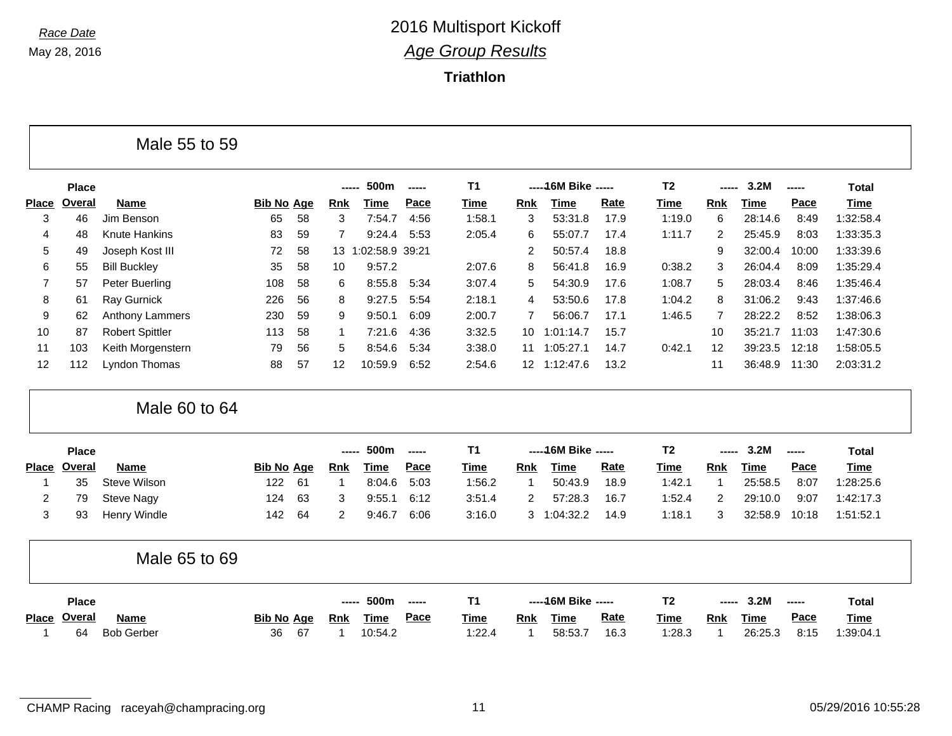л

## *Race Date* 2016 Multisport Kickoff *Age Group Results*

**Triathlon**

|                |               | Male 55 to 59          |                   |    |            |              |       |                |                 |                      |             |                |                |             |       |              |
|----------------|---------------|------------------------|-------------------|----|------------|--------------|-------|----------------|-----------------|----------------------|-------------|----------------|----------------|-------------|-------|--------------|
|                | <b>Place</b>  |                        |                   |    |            | 500m         | ----- | <b>T1</b>      |                 | ----- 16M Bike ----- |             | T <sub>2</sub> |                | 3.2M        | ----- | <b>Total</b> |
| <b>Place</b>   | <b>Overal</b> | <b>Name</b>            | <b>Bib No Age</b> |    | <b>Rnk</b> | <b>Time</b>  | Pace  | Time           | <b>Rnk</b>      | <b>Time</b>          | Rate        | Time           | <b>Rnk</b>     | <b>Time</b> | Pace  | Time         |
| 3              | 46            | Jim Benson             | 65                | 58 | 3          | 7:54.7       | 4:56  | 1:58.1         | 3               | 53:31.8              | 17.9        | 1:19.0         | 6              | 28:14.6     | 8:49  | 1:32:58.4    |
| 4              | 48            | Knute Hankins          | 83                | 59 | 7          | 9:24.4       | 5:53  | 2:05.4         | 6               | 55:07.7              | 17.4        | 1:11.7         | 2              | 25:45.9     | 8:03  | 1:33:35.3    |
| 5              | 49            | Joseph Kost III        | 72                | 58 |            | 13 1:02:58.9 | 39:21 |                | 2               | 50:57.4              | 18.8        |                | 9              | 32:00.4     | 10:00 | 1:33:39.6    |
| 6              | 55            | <b>Bill Buckley</b>    | 35                | 58 | 10         | 9:57.2       |       | 2:07.6         | 8               | 56:41.8              | 16.9        | 0:38.2         | 3              | 26:04.4     | 8:09  | 1:35:29.4    |
| 7              | 57            | Peter Buerling         | 108               | 58 | 6          | 8:55.8       | 5:34  | 3:07.4         | 5               | 54:30.9              | 17.6        | 1:08.7         | 5              | 28:03.4     | 8:46  | 1:35:46.4    |
| 8              | 61            | Ray Gurnick            | 226               | 56 | 8          | 9:27.5       | 5:54  | 2:18.1         | 4               | 53:50.6              | 17.8        | 1:04.2         | 8              | 31:06.2     | 9:43  | 1:37:46.6    |
| 9              | 62            | Anthony Lammers        | 230               | 59 | 9          | 9:50.1       | 6:09  | 2:00.7         | 7               | 56:06.7              | 17.1        | 1:46.5         | $\overline{7}$ | 28:22.2     | 8:52  | 1:38:06.3    |
| 10             | 87            | <b>Robert Spittler</b> | 113               | 58 | -1         | 7:21.6       | 4:36  | 3:32.5         | 10 <sup>°</sup> | 1:01:14.7            | 15.7        |                | 10             | 35:21.7     | 11:03 | 1:47:30.6    |
| 11             | 103           | Keith Morgenstern      | 79                | 56 | 5          | 8:54.6       | 5:34  | 3:38.0         | 11              | 1:05:27.1            | 14.7        | 0:42.1         | 12             | 39:23.5     | 12:18 | 1:58:05.5    |
| 12             | 112           | Lyndon Thomas          | 88                | 57 | 12         | 10:59.9      | 6:52  | 2:54.6         |                 | 12 1:12:47.6         | 13.2        |                | 11             | 36:48.9     | 11:30 | 2:03:31.2    |
|                |               | Male 60 to 64          |                   |    |            |              |       |                |                 |                      |             |                |                |             |       |              |
|                | <b>Place</b>  |                        |                   |    | -----      | 500m         | ----- | <b>T1</b>      |                 | ----- 16M Bike ----- |             | T <sub>2</sub> | ----           | 3.2M        | ----- | <b>Total</b> |
| <b>Place</b>   | <b>Overal</b> | Name                   | <b>Bib No Age</b> |    | <b>Rnk</b> | <b>Time</b>  | Pace  | <b>Time</b>    | <b>Rnk</b>      | <b>Time</b>          | <b>Rate</b> | <b>Time</b>    | <b>Rnk</b>     | <b>Time</b> | Pace  | <b>Time</b>  |
| -1             | 35            | Steve Wilson           | 122               | 61 | -1         | 8:04.6       | 5:03  | 1:56.2         | $\mathbf{1}$    | 50:43.9              | 18.9        | 1:42.1         | $\mathbf{1}$   | 25:58.5     | 8:07  | 1:28:25.6    |
| $\overline{2}$ | 79            | Steve Nagy             | 124               | 63 | 3          | 9:55.1       | 6:12  | 3:51.4         | 2               | 57:28.3              | 16.7        | 1:52.4         | 2              | 29:10.0     | 9:07  | 1:42:17.3    |
| 3              | 93            | Henry Windle           | 142               | 64 | 2          | 9:46.7       | 6:06  | 3:16.0         | 3               | 1:04:32.2            | 14.9        | 1:18.1         | 3              | 32:58.9     | 10:18 | 1:51:52.1    |
|                |               | Male 65 to 69          |                   |    |            |              |       |                |                 |                      |             |                |                |             |       |              |
|                | <b>Place</b>  |                        |                   |    |            | 500m         | ----- | T <sub>1</sub> |                 | ----- 16M Bike ----- |             | T <sub>2</sub> |                | 3.2M        | ----- | <b>Total</b> |
|                | Place Overal  | Name                   | <b>Bib No Age</b> |    | <b>Rnk</b> | <b>Time</b>  | Pace  | Time           | <b>Rnk</b>      | <b>Time</b>          | Rate        | <b>Time</b>    | <b>Rnk</b>     | <b>Time</b> | Pace  | <b>Time</b>  |
| -1             | 64            | <b>Bob Gerber</b>      | 36                | 67 | 1          | 10:54.2      |       | 1:22.4         |                 | 58:53.7              | 16.3        | 1:28.3         | 1              | 26:25.3     | 8:15  | 1:39:04.1    |

CHAMP Racing raceyah@champracing.org 11 05/29/2016 10:55:28

┑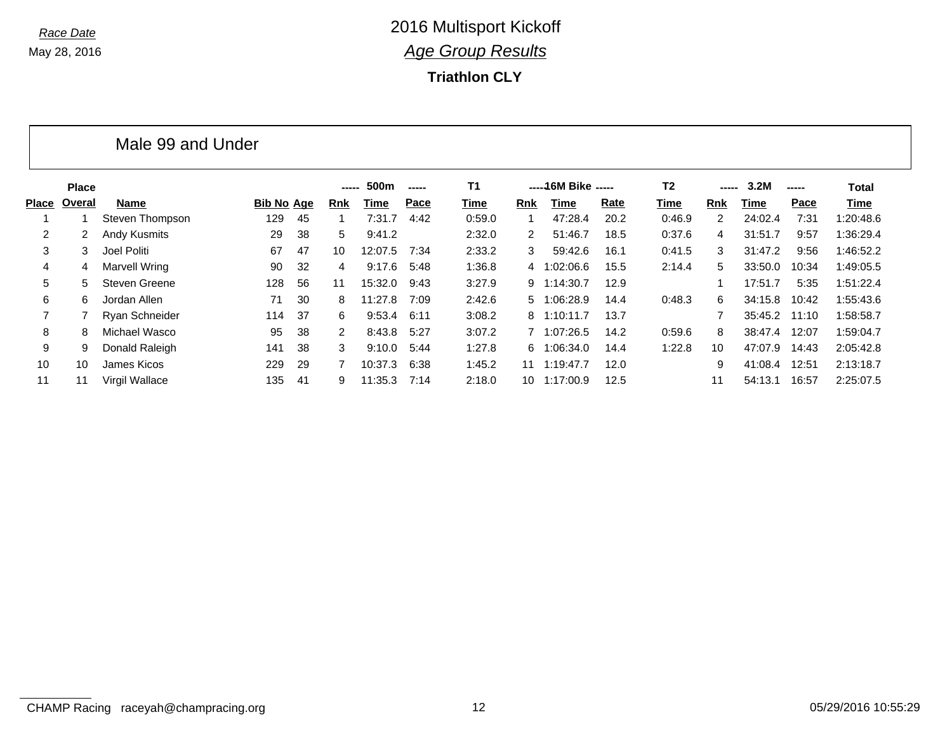**Triathlon CLY**

|              |              | Male 99 and Under |                   |     |                      |         |        |                |            |                      |      |                |            |         |       |              |
|--------------|--------------|-------------------|-------------------|-----|----------------------|---------|--------|----------------|------------|----------------------|------|----------------|------------|---------|-------|--------------|
|              | <b>Place</b> |                   |                   |     | -----                | 500m    | ------ | T <sub>1</sub> |            | ----- 16M Bike ----- |      | T <sub>2</sub> | -----      | 3.2M    | ----- | <b>Total</b> |
| <b>Place</b> | Overal       | Name              | <b>Bib No Age</b> |     | <b>Rnk</b>           | Time    | Pace   | Time           | <b>Rnk</b> | Time                 | Rate | Time           | <b>Rnk</b> | Time    | Pace  | Time         |
|              |              | Steven Thompson   | 129               | 45  |                      | 7:31.7  | 4:42   | 0:59.0         |            | 47:28.4              | 20.2 | 0:46.9         | 2          | 24:02.4 | 7:31  | 1:20:48.6    |
| 2            |              | Andy Kusmits      | 29                | 38  | 5                    | 9:41.2  |        | 2:32.0         | 2          | 51:46.7              | 18.5 | 0:37.6         | 4          | 31:51.7 | 9:57  | 1:36:29.4    |
| 3            | 3            | Joel Politi       | 67                | 47  | 10                   | 12:07.5 | 7:34   | 2:33.2         | 3          | 59:42.6              | 16.1 | 0:41.5         | 3          | 31:47.2 | 9:56  | 1:46:52.2    |
| 4            | 4            | Marvell Wring     | 90                | 32  | 4                    | 9:17.6  | 5:48   | 1:36.8         |            | 4 1:02:06.6          | 15.5 | 2:14.4         | 5          | 33:50.0 | 10:34 | 1:49:05.5    |
| 5            | 5.           | Steven Greene     | 128               | 56  | 11                   | 15:32.0 | 9:43   | 3:27.9         |            | 9 1:14:30.7          | 12.9 |                |            | 17:51.7 | 5:35  | 1:51:22.4    |
| 6            | 6            | Jordan Allen      | 71                | 30  | 8                    | 11:27.8 | 7:09   | 2:42.6         | 5          | 1:06:28.9            | 14.4 | 0:48.3         | 6          | 34:15.8 | 10:42 | 1:55:43.6    |
|              |              | Ryan Schneider    | 114               | 37  | 6.                   | 9:53.4  | 6:11   | 3:08.2         |            | 8 1:10:11.7          | 13.7 |                |            | 35:45.2 | 11:10 | 1:58:58.7    |
| 8            | 8            | Michael Wasco     | 95                | 38  | $\mathbf{2}^{\circ}$ | 8:43.8  | 5:27   | 3:07.2         |            | 7 1:07:26.5          | 14.2 | 0:59.6         | 8          | 38:47.4 | 12:07 | 1:59:04.7    |
| 9            | 9            | Donald Raleigh    | 141               | 38  | 3                    | 9:10.0  | 5:44   | 1:27.8         | 6.         | 1:06:34.0            | 14.4 | 1:22.8         | 10         | 47:07.9 | 14:43 | 2:05:42.8    |
| 10           | 10           | James Kicos       | 229               | 29  |                      | 10:37.3 | 6:38   | 1:45.2         | 11         | 1:19:47.7            | 12.0 |                | 9          | 41:08.4 | 12:51 | 2:13:18.7    |
| 11           | 11           | Virgil Wallace    | 135               | -41 | 9                    | 11:35.3 | 7:14   | 2:18.0         | 10         | 1:17:00.9            | 12.5 |                | 11         | 54:13.1 | 16:57 | 2:25:07.5    |

CHAMP Racing raceyah@champracing.org 12 05/29/2016 10:55:29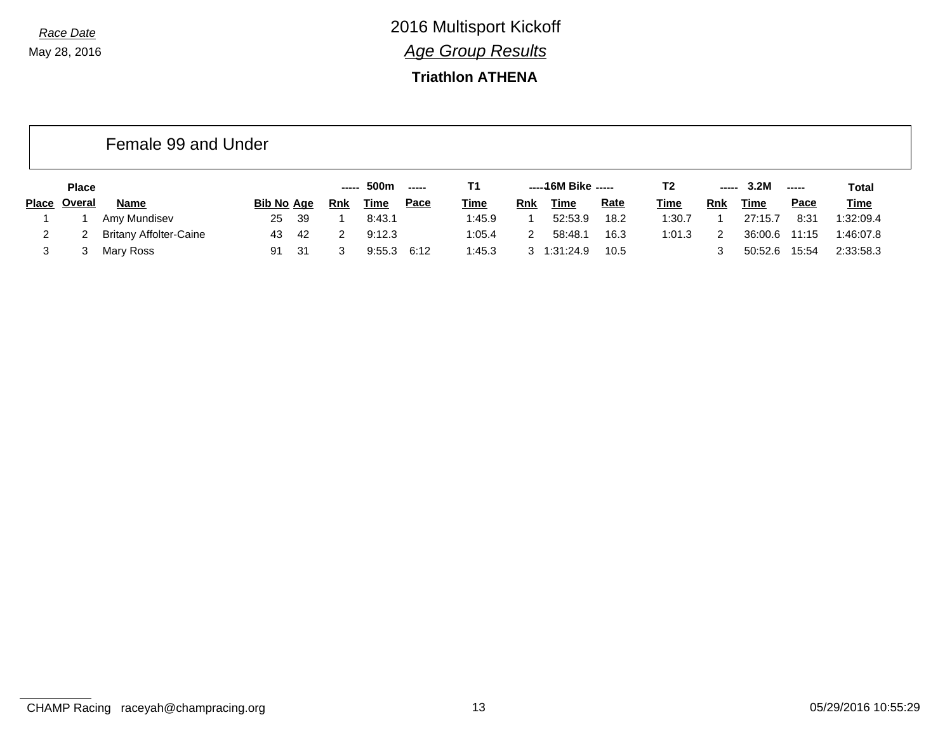### **Triathlon ATHENA**

|       |              | Female 99 and Under           |                   |      |            |             |                                                                                                                                                                                                                                                                                                                                                                                                                                                                                        |             |            |                     |             |             |               |             |               |             |
|-------|--------------|-------------------------------|-------------------|------|------------|-------------|----------------------------------------------------------------------------------------------------------------------------------------------------------------------------------------------------------------------------------------------------------------------------------------------------------------------------------------------------------------------------------------------------------------------------------------------------------------------------------------|-------------|------------|---------------------|-------------|-------------|---------------|-------------|---------------|-------------|
|       | <b>Place</b> |                               |                   |      | -----      | 500m        | $\begin{array}{ccc} \multicolumn{3}{c}{} & \multicolumn{3}{c}{} & \multicolumn{3}{c}{} & \multicolumn{3}{c}{} & \multicolumn{3}{c}{} & \multicolumn{3}{c}{} & \multicolumn{3}{c}{} & \multicolumn{3}{c}{} & \multicolumn{3}{c}{} & \multicolumn{3}{c}{} & \multicolumn{3}{c}{} & \multicolumn{3}{c}{} & \multicolumn{3}{c}{} & \multicolumn{3}{c}{} & \multicolumn{3}{c}{} & \multicolumn{3}{c}{} & \multicolumn{3}{c}{} & \multicolumn{3}{c}{} & \multicolumn{3}{c}{} & \multicolumn$ | Τ1          |            | -----46M Bike ----- |             | T2          | -----         | 3.2M        | $\frac{1}{2}$ | Total       |
| Place | Overal       | Name                          | <b>Bib No Age</b> |      | <b>Rnk</b> | <u>Time</u> | <u>Pace</u>                                                                                                                                                                                                                                                                                                                                                                                                                                                                            | <u>Time</u> | <b>Rnk</b> | Time                | <b>Rate</b> | <b>Time</b> | Rnk           | <u>Time</u> | <u>Pace</u>   | <b>Time</b> |
|       |              | Amy Mundisev                  | 25                | - 39 |            | 8:43.1      |                                                                                                                                                                                                                                                                                                                                                                                                                                                                                        | 1:45.9      |            | 52:53.9             | 18.2        | 1:30.7      |               | 27:15.7     | 8:31          | 1:32:09.4   |
|       |              | <b>Britany Affolter-Caine</b> | 43                | -42  |            | 9:12.3      |                                                                                                                                                                                                                                                                                                                                                                                                                                                                                        | 1:05.4      |            | 58:48.1             | 16.3        | 1:01.3      | $\mathcal{P}$ | 36:00.6     | 11:15         | 1:46:07.8   |
|       |              | Mary Ross                     | 91                | -31  |            | 9:55.3      | 6:12                                                                                                                                                                                                                                                                                                                                                                                                                                                                                   | 1:45.3      |            | 3 1:31:24.9         | 10.5        |             |               | 50:52.6     | 15:54         | 2:33:58.3   |

CHAMP Racing raceyah@champracing.org 13 05/29/2016 10:55:29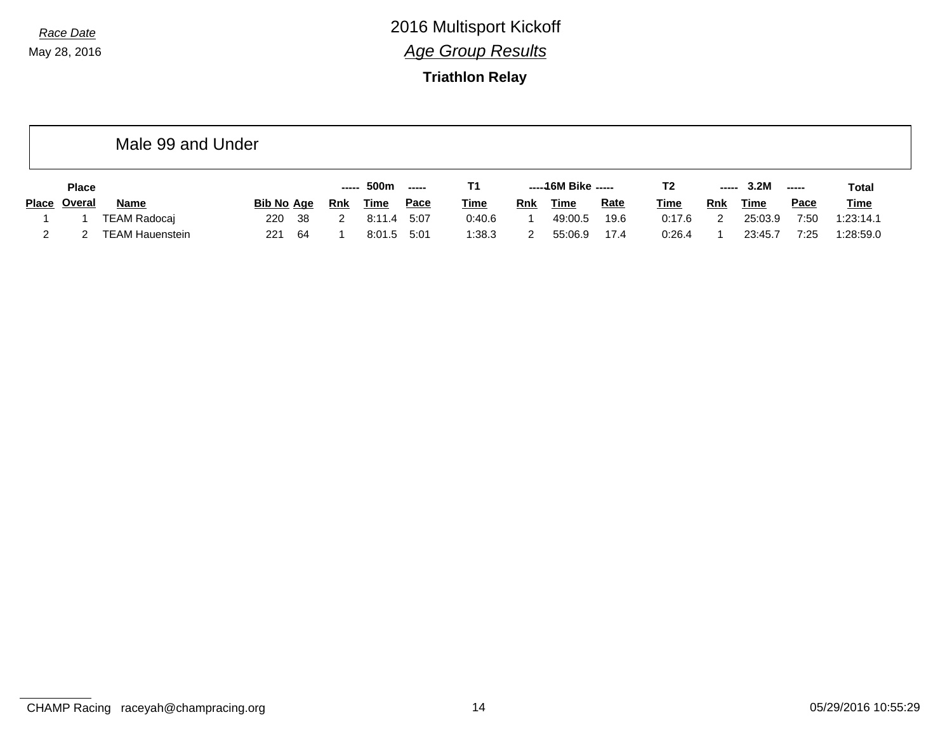### **Triathlon Relay**

|              |               | Male 99 and Under      |                   |        |             |             |             |            |                     |             |             |                                                                                                                                                                                                                                                                                                                                                                                                                                                                                        |             |             |             |
|--------------|---------------|------------------------|-------------------|--------|-------------|-------------|-------------|------------|---------------------|-------------|-------------|----------------------------------------------------------------------------------------------------------------------------------------------------------------------------------------------------------------------------------------------------------------------------------------------------------------------------------------------------------------------------------------------------------------------------------------------------------------------------------------|-------------|-------------|-------------|
|              | <b>Place</b>  |                        |                   | ------ | 500m        | ------      | Т1          |            | -----46M Bike ----- |             | T2          | $\begin{array}{ccc} \multicolumn{3}{c}{} & \multicolumn{3}{c}{} & \multicolumn{3}{c}{} & \multicolumn{3}{c}{} & \multicolumn{3}{c}{} & \multicolumn{3}{c}{} & \multicolumn{3}{c}{} & \multicolumn{3}{c}{} & \multicolumn{3}{c}{} & \multicolumn{3}{c}{} & \multicolumn{3}{c}{} & \multicolumn{3}{c}{} & \multicolumn{3}{c}{} & \multicolumn{3}{c}{} & \multicolumn{3}{c}{} & \multicolumn{3}{c}{} & \multicolumn{3}{c}{} & \multicolumn{3}{c}{} & \multicolumn{3}{c}{} & \multicolumn$ | 3.2M        | -----       | Total       |
| <b>Place</b> | <u>Overal</u> | <b>Name</b>            | <b>Bib No Age</b> | Rnk    | <b>Time</b> | <u>Pace</u> | <b>Time</b> | <b>Rnk</b> | <u>Time</u>         | <b>Rate</b> | <u>Time</u> | <b>Rnk</b>                                                                                                                                                                                                                                                                                                                                                                                                                                                                             | <b>Time</b> | <b>Pace</b> | <b>Time</b> |
|              |               | <b>TEAM Radocaj</b>    | - 38<br>220       | 2      | 8:11.4      | 5:07        | 0:40.6      |            | 49:00.5             | 19.6        | 0:17.6      |                                                                                                                                                                                                                                                                                                                                                                                                                                                                                        | 25:03.9     | 7:50        | 1:23:14.1   |
|              |               | <b>TEAM Hauenstein</b> | -64<br>221        |        | 8:01.5      | 5:01        | 1:38.3      |            | 55:06.9             | 17.4        | 0:26.4      |                                                                                                                                                                                                                                                                                                                                                                                                                                                                                        | 23:45.7     | 7:25        | 1:28:59.0   |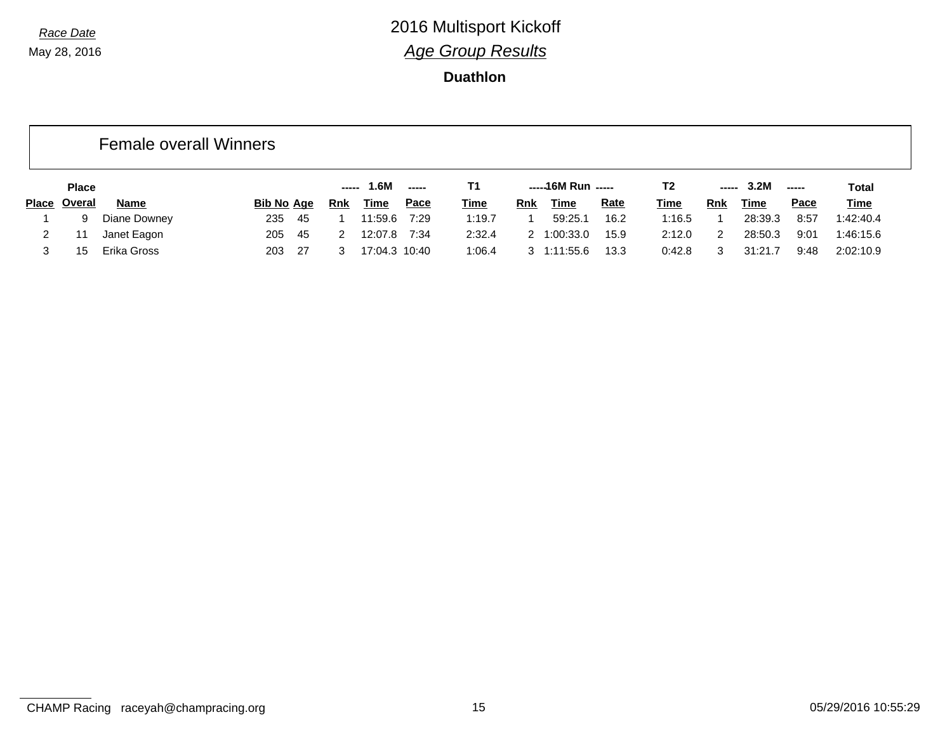### **Duathlon**

### Female overall Winners

|              | <b>Place</b><br><b>Bib No Age</b> |              |        |     | .6M | $\frac{1}{2}$ |      |             | -----16M Run ----- |             | T <sub>2</sub> | ------ | 3.2M       |         | <b>Total</b> |             |
|--------------|-----------------------------------|--------------|--------|-----|-----|---------------|------|-------------|--------------------|-------------|----------------|--------|------------|---------|--------------|-------------|
| <b>Place</b> | Overal                            | <b>Name</b>  |        |     | Rnk | Time          | Pace | <u>Time</u> | Rnk                | Time        | <u>Rate</u>    | Time   | <b>Rnk</b> | Time    | <u>Pace</u>  | <b>Time</b> |
|              | a                                 | Diane Downey | 235    | -45 |     | 11:59.6       | 7:29 | 1:19.7      |                    | 59:25.7     | 16.2           | 1:16.5 |            | 28:39.3 | 8:57         | 1:42:40.4   |
|              |                                   | Janet Eagon  | 205    | -45 |     | 12:07.8       | 7:34 | 2:32.4      |                    | 2 1:00:33.0 | 15.9           | 2:12.0 | っ          | 28:50.3 | 9:01         | 1:46:15.6   |
|              |                                   | Erika Gross  | 203 27 |     |     | 17:04.3 10:40 |      | 1:06.4      |                    | 3 1:11:55.6 | 13.3           | 0:42.8 |            | 31:21.7 | 9:48         | 2:02:10.9   |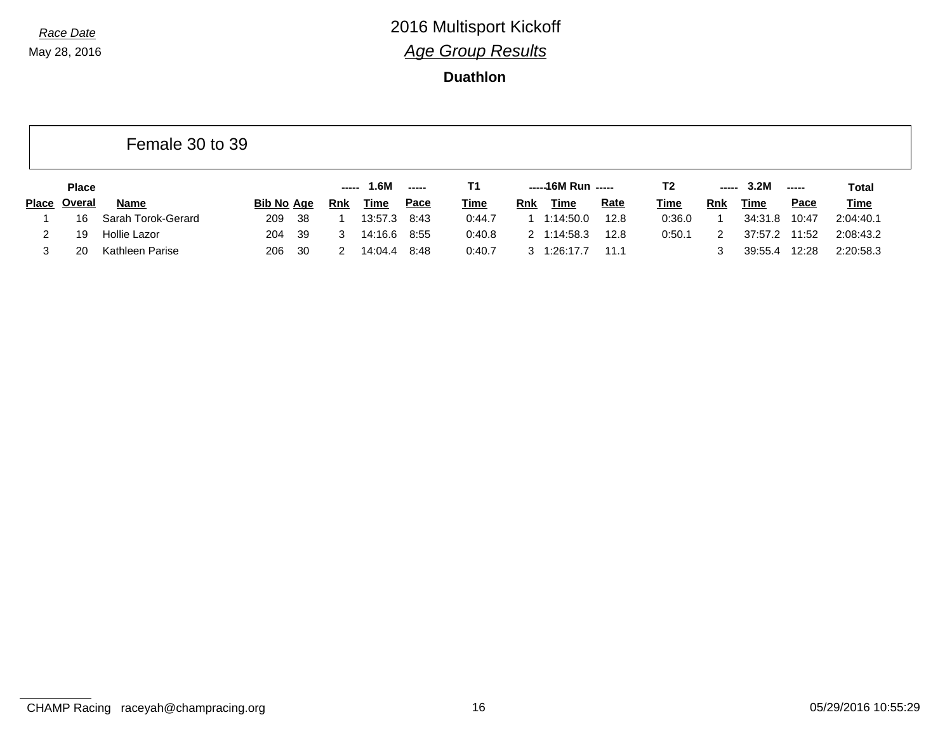|              |              | Female 30 to 39    |                    |     |       |         |               |             |            |                    |             |             |                                                                                                                                                                                                                                                                                                                                                                                                                                                                                        |         |               |              |
|--------------|--------------|--------------------|--------------------|-----|-------|---------|---------------|-------------|------------|--------------------|-------------|-------------|----------------------------------------------------------------------------------------------------------------------------------------------------------------------------------------------------------------------------------------------------------------------------------------------------------------------------------------------------------------------------------------------------------------------------------------------------------------------------------------|---------|---------------|--------------|
|              | <b>Place</b> |                    |                    |     | ----- | 1.6M    | $\frac{1}{2}$ | T1.         |            | -----16M Run ----- |             | T2          | $\begin{array}{ccc} \multicolumn{3}{c}{} & \multicolumn{3}{c}{} & \multicolumn{3}{c}{} & \multicolumn{3}{c}{} & \multicolumn{3}{c}{} & \multicolumn{3}{c}{} & \multicolumn{3}{c}{} & \multicolumn{3}{c}{} & \multicolumn{3}{c}{} & \multicolumn{3}{c}{} & \multicolumn{3}{c}{} & \multicolumn{3}{c}{} & \multicolumn{3}{c}{} & \multicolumn{3}{c}{} & \multicolumn{3}{c}{} & \multicolumn{3}{c}{} & \multicolumn{3}{c}{} & \multicolumn{3}{c}{} & \multicolumn{3}{c}{} & \multicolumn$ | 3.2M    | $\frac{1}{2}$ | <b>Total</b> |
| <b>Place</b> | Overal       | <b>Name</b>        | Bi <u>b No_Age</u> |     | Rnk   | Time    | <u>Pace</u>   | <b>Time</b> | <b>Rnk</b> | Time               | <b>Rate</b> | <u>Time</u> | <b>Rnk</b>                                                                                                                                                                                                                                                                                                                                                                                                                                                                             | Time    | <b>Pace</b>   | <b>Time</b>  |
|              | 16           | Sarah Torok-Gerard | 209                | -38 |       | 13:57.3 | 8:43          | 0:44.7      |            | 1:14:50.0          | 12.8        | 0:36.0      |                                                                                                                                                                                                                                                                                                                                                                                                                                                                                        | 34:31.8 | 10:47         | 2:04:40.1    |
| 2            | 19           | Hollie Lazor       | 204                | -39 |       | 14:16.6 | 8:55          | 0:40.8      |            | 2 1:14:58.3        | 12.8        | 0:50.1      | 2                                                                                                                                                                                                                                                                                                                                                                                                                                                                                      | 37:57.2 | 11:52         | 2:08:43.2    |
|              | 20           | Kathleen Parise    | 206                | 30  |       | 14:04.4 | 8:48          | 0:40.7      |            | 3 1:26:17.7        | 11.1        |             |                                                                                                                                                                                                                                                                                                                                                                                                                                                                                        | 39:55.4 | 12:28         | 2:20:58.3    |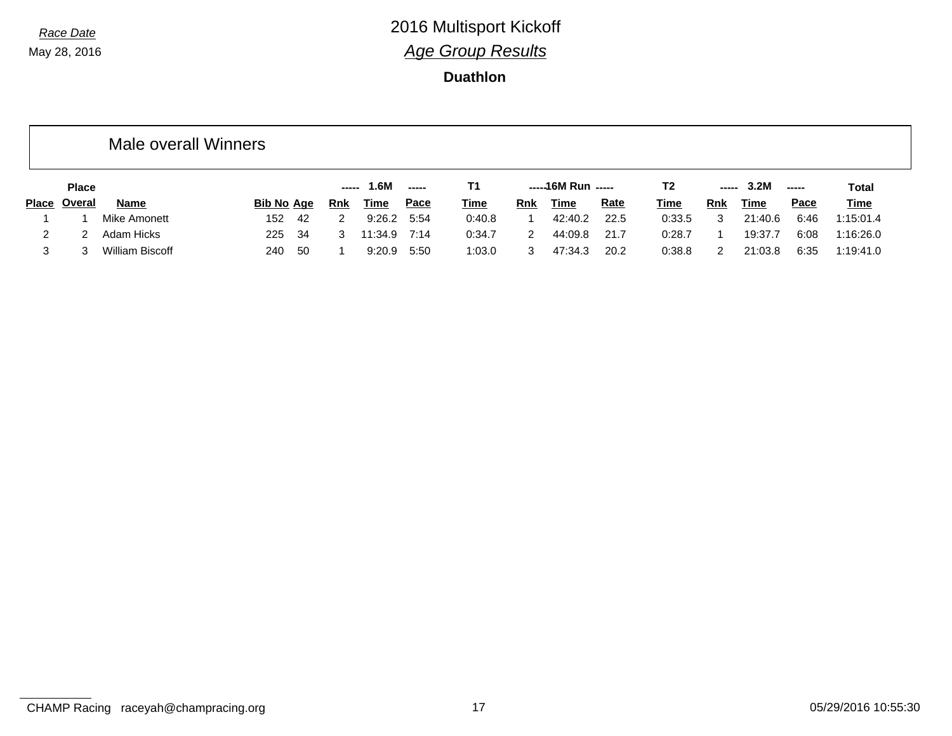|              |              | Male overall Winners |            |     |            |                 |        |             |            |                    |             |                |               |         |                       |             |
|--------------|--------------|----------------------|------------|-----|------------|-----------------|--------|-------------|------------|--------------------|-------------|----------------|---------------|---------|-----------------------|-------------|
|              | <b>Place</b> |                      |            |     | -----      | 1.6M            | ------ | T1          |            | -----16M Run ----- |             | T <sub>2</sub> | -----         | 3.2M    | $\sim$ - - - - $\sim$ | Total       |
| <b>Place</b> | Overal       | Name                 | Bib No Age |     | <u>Rnk</u> | <u>Time</u>     | Pace   | <b>Time</b> | <u>Rnk</u> | <u>Time</u>        | <u>Rate</u> | <b>Time</b>    | Rnk           | Time    | <b>Pace</b>           | <b>Time</b> |
|              |              | Mike Amonett         | 152        | -42 | 2          | $9:26.2$ $5:54$ |        | 0:40.8      |            | 42:40.2            | 22.5        | 0:33.5         | 3             | 21:40.6 | 6:46                  | 1:15:01.4   |
| 2            |              | Adam Hicks           | 225        | -34 | 3          | 11:34.9 7:14    |        | 0:34.7      | 2          | 44:09.8            | 21.7        | 0:28.7         |               | 19:37.7 | 6:08                  | 1:16:26.0   |
| 3            |              | William Biscoff      | 240        | -50 |            | 9:20.9          | 5:50   | 1:03.0      | 3          | 47:34.3            | 20.2        | 0:38.8         | $\mathcal{P}$ | 21:03.8 | 6:35                  | 1:19:41.0   |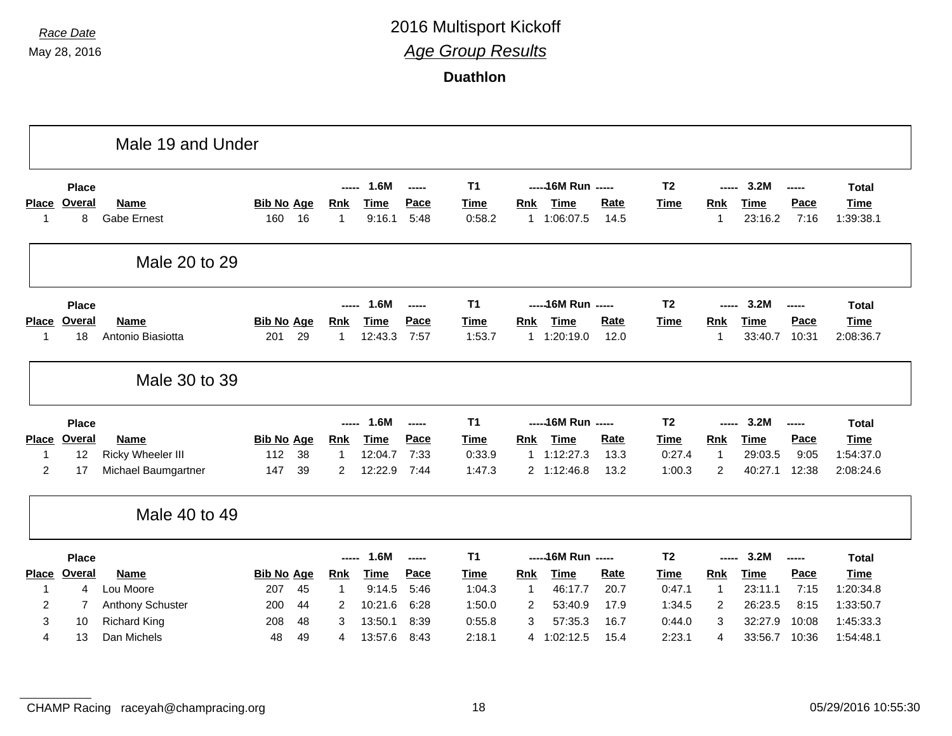|                |                               | Male 19 and Under        |                   |    |                     |                     |                       |                               |             |                                    |             |                               |                     |                     |               |                             |
|----------------|-------------------------------|--------------------------|-------------------|----|---------------------|---------------------|-----------------------|-------------------------------|-------------|------------------------------------|-------------|-------------------------------|---------------------|---------------------|---------------|-----------------------------|
| <b>Place</b>   | <b>Place</b><br><b>Overal</b> | <b>Name</b>              | <b>Bib No Age</b> |    | -----<br><u>Rnk</u> | 1.6M<br><b>Time</b> | $\frac{1}{2}$<br>Pace | T <sub>1</sub><br><b>Time</b> | <b>Rnk</b>  | ----- 16M Run -----<br><b>Time</b> | <b>Rate</b> | T <sub>2</sub><br><b>Time</b> | -----<br><b>Rnk</b> | 3.2M<br><b>Time</b> | -----<br>Pace | <b>Total</b><br><b>Time</b> |
| -1             | 8                             | <b>Gabe Ernest</b>       | 160               | 16 | 1                   | 9:16.1              | 5:48                  | 0:58.2                        |             | 1 1:06:07.5                        | 14.5        |                               | $\mathbf{1}$        | 23:16.2             | 7:16          | 1:39:38.1                   |
|                |                               | Male 20 to 29            |                   |    |                     |                     |                       |                               |             |                                    |             |                               |                     |                     |               |                             |
|                | <b>Place</b>                  |                          |                   |    |                     | 1.6M                | -----                 | <b>T1</b>                     |             | ----- 16M Run -----                |             | T <sub>2</sub>                |                     | 3.2M                | -----         | <b>Total</b>                |
| <b>Place</b>   | Overal                        | <b>Name</b>              | <b>Bib No Age</b> |    | Rnk                 | <b>Time</b>         | Pace                  | <b>Time</b>                   | Rnk         | Time                               | Rate        | Time                          | Rnk                 | <b>Time</b>         | Pace          | <b>Time</b>                 |
| -1             | 18                            | Antonio Biasiotta        | 201               | 29 | 1                   | 12:43.3             | 7:57                  | 1:53.7                        |             | 1 1:20:19.0                        | 12.0        |                               | 1                   | 33:40.7             | 10:31         | 2:08:36.7                   |
|                |                               | Male 30 to 39            |                   |    |                     |                     |                       |                               |             |                                    |             |                               |                     |                     |               |                             |
|                | <b>Place</b>                  |                          |                   |    | -----               | 1.6M                | -----                 | T <sub>1</sub>                |             | ----- 16M Run -----                |             | T <sub>2</sub>                | -----               | 3.2M                | -----         | <b>Total</b>                |
| <b>Place</b>   | <b>Overal</b>                 | Name                     | <b>Bib No Age</b> |    | <b>Rnk</b>          | <b>Time</b>         | Pace                  | <b>Time</b>                   | <b>Rnk</b>  | <b>Time</b>                        | Rate        | <b>Time</b>                   | Rnk                 | <b>Time</b>         | Pace          | <b>Time</b>                 |
| -1             | 12                            | <b>Ricky Wheeler III</b> | 112               | 38 | $\mathbf 1$         | 12:04.7             | 7:33                  | 0:33.9                        |             | 1 1:12:27.3                        | 13.3        | 0:27.4                        | $\mathbf{1}$        | 29:03.5             | 9:05          | 1:54:37.0                   |
| $\overline{2}$ | 17                            | Michael Baumgartner      | 147               | 39 | $\overline{2}$      | 12:22.9             | 7:44                  | 1:47.3                        |             | 2 1:12:46.8                        | 13.2        | 1:00.3                        | $\overline{2}$      | 40:27.1             | 12:38         | 2:08:24.6                   |
|                |                               | Male 40 to 49            |                   |    |                     |                     |                       |                               |             |                                    |             |                               |                     |                     |               |                             |
|                | <b>Place</b>                  |                          |                   |    | -----               | 1.6M                | -----                 | <b>T1</b>                     |             | ----- 16M Run -----                |             | T <sub>2</sub>                | -----               | 3.2M                | -----         | <b>Total</b>                |
| <b>Place</b>   | <b>Overal</b>                 | Name                     | <b>Bib No Age</b> |    | <b>Rnk</b>          | <b>Time</b>         | Pace                  | <b>Time</b>                   | <b>Rnk</b>  | <b>Time</b>                        | Rate        | <b>Time</b>                   | Rnk                 | <b>Time</b>         | Pace          | <b>Time</b>                 |
| -1             | 4                             | Lou Moore                | 207               | 45 | 1                   | 9:14.5              | 5:46                  | 1:04.3                        | $\mathbf 1$ | 46:17.7                            | 20.7        | 0:47.1                        | $\mathbf{1}$        | 23:11.1             | 7:15          | 1:20:34.8                   |
| 2              | 7                             | Anthony Schuster         | 200               | 44 | 2                   | 10:21.6             | 6:28                  | 1:50.0                        | 2           | 53:40.9                            | 17.9        | 1:34.5                        | 2                   | 26:23.5             | 8:15          | 1:33:50.7                   |
| 3              | 10                            | <b>Richard King</b>      | 208               | 48 | 3                   | 13:50.1             | 8:39                  | 0:55.8                        | 3           | 57:35.3                            | 16.7        | 0:44.0                        | 3                   | 32:27.9             | 10:08         | 1:45:33.3                   |
| 4              | 13                            | Dan Michels              | 48                | 49 | 4                   | 13:57.6             | 8:43                  | 2:18.1                        |             | 4 1:02:12.5                        | 15.4        | 2:23.1                        | 4                   | 33:56.7             | 10:36         | 1:54:48.1                   |
|                |                               |                          |                   |    |                     |                     |                       |                               |             |                                    |             |                               |                     |                     |               |                             |